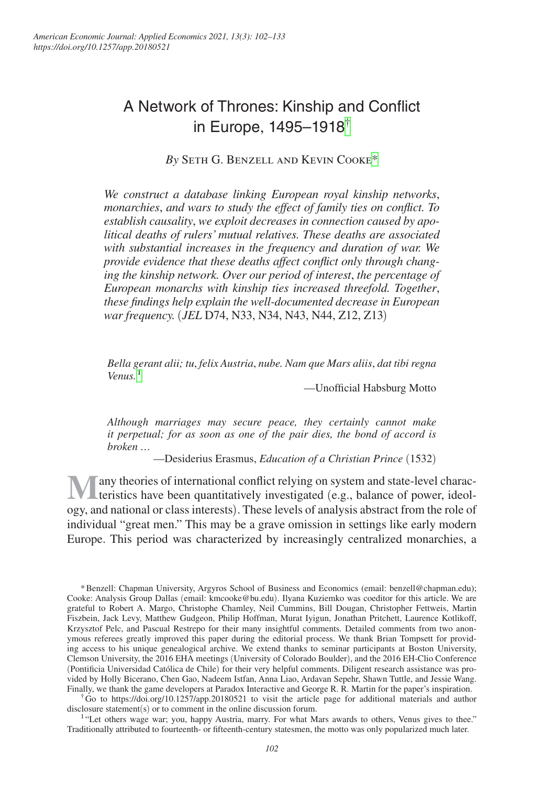# A Network of Thrones: Kinship and Conflict in Europe, 1495–1918[†](#page-0-0)

*By* Seth G. Benzell and Kevin Cook[e\\*](#page-0-1)

*We construct a database linking European royal kinship networks*, *monarchies*, *and wars to study the effect of family ties on conflict. To establish causality*, *we exploit decreases in connection caused by apolitical deaths of rulers' mutual relatives. These deaths are associated with substantial increases in the frequency and duration of war. We provide evidence that these deaths affect conflict only through changing the kinship network. Over our period of interest*, *the percentage of European monarchs with kinship ties increased threefold. Together*, *these findings help explain the well-documented decrease in European war frequency.* (*JEL* D74, N33, N34, N43, N44, Z12, Z13)

*Bella gerant alii; tu*, *felix Austria*, *nube. Nam que Mars aliis*, *dat tibi regna Venus.*[1](#page-0-2)

—Unofficial Habsburg Motto

*Although marriages may secure peace, they certainly cannot make it perpetual; for as soon as one of the pair dies, the bond of accord is broken …*

—Desiderius Erasmus, *Education of a Christian Prince* (1532)

**Many** theories of international conflict relying on system and state-level charac-<br>teristics have been quantitatively investigated (e.g., balance of power, ideology, and national or class interests). These levels of analysis abstract from the role of individual "great men." This may be a grave omission in settings like early modern Europe. This period was characterized by increasingly centralized monarchies, a

<span id="page-0-0"></span>†Go to <https://doi.org/10.1257/app.20180521>to visit the article page for additional materials and author disclosure statement(s) or to comment in the online discussion forum.

<span id="page-0-2"></span><sup>1</sup>"Let others wage war; you, happy Austria, marry. For what Mars awards to others, Venus gives to thee." Traditionally attributed to fourteenth- or fifteenth-century statesmen, the motto was only popularized much later.

<span id="page-0-1"></span><sup>\*</sup>Benzell: Chapman University, Argyros School of Business and Economics (email: [benzell@chapman.edu](mailto:benzell@chapman.edu)); Cooke: Analysis Group Dallas (email: [kmcooke@bu.edu](mailto:kmcooke@bu.edu)). Ilyana Kuziemko was coeditor for this article. We are grateful to Robert A. Margo, Christophe Chamley, Neil Cummins, Bill Dougan, Christopher Fettweis, Martin Fiszbein, Jack Levy, Matthew Gudgeon, Philip Hoffman, Murat Iyigun, Jonathan Pritchett, Laurence Kotlikoff, Krzysztof Pelc, and Pascual Restrepo for their many insightful comments. Detailed comments from two anonymous referees greatly improved this paper during the editorial process. We thank Brian Tompsett for providing access to his unique genealogical archive. We extend thanks to seminar participants at Boston University, Clemson University, the 2016 EHA meetings (University of Colorado Boulder), and the 2016 EH-Clio Conference (Pontificia Universidad Católica de Chile) for their very helpful comments. Diligent research assistance was provided by Holly Bicerano, Chen Gao, Nadeem Istfan, Anna Liao, Ardavan Sepehr, Shawn Tuttle, and Jessie Wang. Finally, we thank the game developers at Paradox Interactive and George R. R. Martin for the paper's inspiration.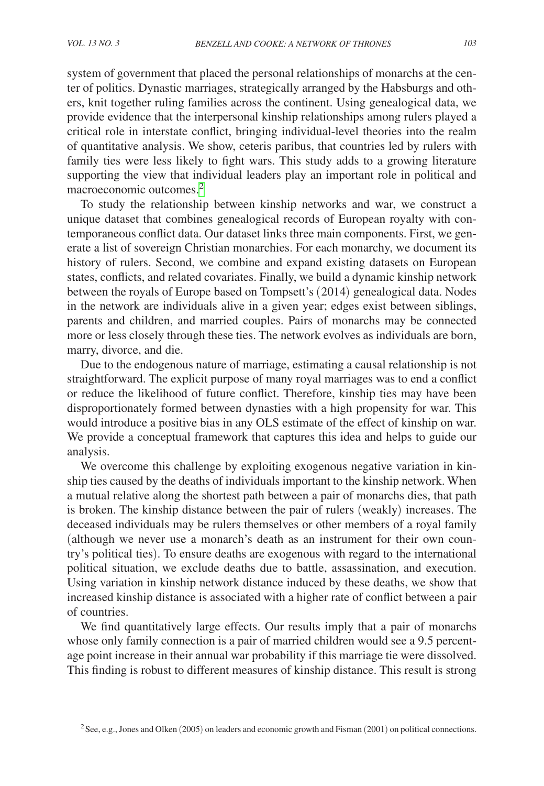system of government that placed the personal relationships of monarchs at the center of politics. Dynastic marriages, strategically arranged by the Habsburgs and others, knit together ruling families across the continent. Using genealogical data, we provide evidence that the interpersonal kinship relationships among rulers played a critical role in interstate conflict, bringing individual-level theories into the realm of quantitative analysis. We show, ceteris paribus, that countries led by rulers with family ties were less likely to fight wars. This study adds to a growing literature supporting the view that individual leaders play an important role in political and macroeconomic outcomes.<sup>[2](#page-1-0)</sup>

To study the relationship between kinship networks and war, we construct a unique dataset that combines genealogical records of European royalty with contemporaneous conflict data. Our dataset links three main components. First, we generate a list of sovereign Christian monarchies. For each monarchy, we document its history of rulers. Second, we combine and expand existing datasets on European states, conflicts, and related covariates. Finally, we build a dynamic kinship network between the royals of Europe based on Tompsett's (2014) genealogical data. Nodes in the network are individuals alive in a given year; edges exist between siblings, parents and children, and married couples. Pairs of monarchs may be connected more or less closely through these ties. The network evolves as individuals are born, marry, divorce, and die.

Due to the endogenous nature of marriage, estimating a causal relationship is not straightforward. The explicit purpose of many royal marriages was to end a conflict or reduce the likelihood of future conflict. Therefore, kinship ties may have been disproportionately formed between dynasties with a high propensity for war. This would introduce a positive bias in any OLS estimate of the effect of kinship on war. We provide a conceptual framework that captures this idea and helps to guide our analysis.

We overcome this challenge by exploiting exogenous negative variation in kinship ties caused by the deaths of individuals important to the kinship network. When a mutual relative along the shortest path between a pair of monarchs dies, that path is broken. The kinship distance between the pair of rulers (weakly) increases. The deceased individuals may be rulers themselves or other members of a royal family (although we never use a monarch's death as an instrument for their own country's political ties). To ensure deaths are exogenous with regard to the international political situation, we exclude deaths due to battle, assassination, and execution. Using variation in kinship network distance induced by these deaths, we show that increased kinship distance is associated with a higher rate of conflict between a pair of countries.

We find quantitatively large effects. Our results imply that a pair of monarchs whose only family connection is a pair of married children would see a 9.5 percentage point increase in their annual war probability if this marriage tie were dissolved. This finding is robust to different measures of kinship distance. This result is strong

<span id="page-1-0"></span>2See, e.g., Jones and Olken (2005) on leaders and economic growth and Fisman (2001) on political connections.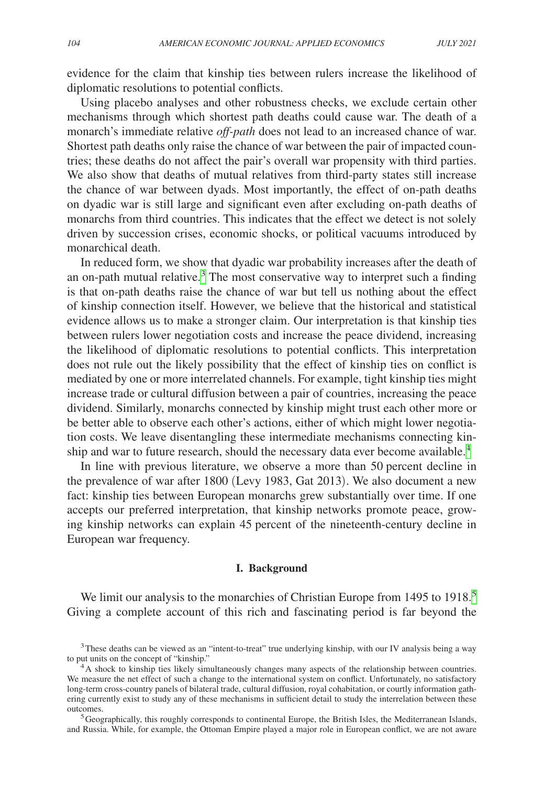evidence for the claim that kinship ties between rulers increase the likelihood of diplomatic resolutions to potential conflicts.

Using placebo analyses and other robustness checks, we exclude certain other mechanisms through which shortest path deaths could cause war. The death of a monarch's immediate relative *off-path* does not lead to an increased chance of war. Shortest path deaths only raise the chance of war between the pair of impacted countries; these deaths do not affect the pair's overall war propensity with third parties. We also show that deaths of mutual relatives from third-party states still increase the chance of war between dyads. Most importantly, the effect of on-path deaths on dyadic war is still large and significant even after excluding on-path deaths of monarchs from third countries. This indicates that the effect we detect is not solely driven by succession crises, economic shocks, or political vacuums introduced by monarchical death.

In reduced form, we show that dyadic war probability increases after the death of an on-path mutual relative.<sup>[3](#page-2-0)</sup> The most conservative way to interpret such a finding is that on-path deaths raise the chance of war but tell us nothing about the effect of kinship connection itself. However, we believe that the historical and statistical evidence allows us to make a stronger claim. Our interpretation is that kinship ties between rulers lower negotiation costs and increase the peace dividend, increasing the likelihood of diplomatic resolutions to potential conflicts. This interpretation does not rule out the likely possibility that the effect of kinship ties on conflict is mediated by one or more interrelated channels. For example, tight kinship ties might increase trade or cultural diffusion between a pair of countries, increasing the peace dividend. Similarly, monarchs connected by kinship might trust each other more or be better able to observe each other's actions, either of which might lower negotiation costs. We leave disentangling these intermediate mechanisms connecting kinship and war to future research, should the necessary data ever become available.<sup>4</sup>

In line with previous literature, we observe a more than 50 percent decline in the prevalence of war after 1800 (Levy 1983, Gat 2013). We also document a new fact: kinship ties between European monarchs grew substantially over time. If one accepts our preferred interpretation, that kinship networks promote peace, growing kinship networks can explain 45 percent of the nineteenth-century decline in European war frequency.

# **I. Background**

We limit our analysis to the monarchies of Christian Europe from 149[5](#page-2-2) to 1918.<sup>5</sup> Giving a complete account of this rich and fascinating period is far beyond the

<span id="page-2-0"></span><sup>&</sup>lt;sup>3</sup>These deaths can be viewed as an "intent-to-treat" true underlying kinship, with our IV analysis being a way to put units on the concept of "kinship."

<span id="page-2-1"></span><sup>&</sup>lt;sup>4</sup>A shock to kinship ties likely simultaneously changes many aspects of the relationship between countries. We measure the net effect of such a change to the international system on conflict. Unfortunately, no satisfactory long-term cross-country panels of bilateral trade, cultural diffusion, royal cohabitation, or courtly information gathering currently exist to study any of these mechanisms in sufficient detail to study the interrelation between these outcomes. 5Geographically, this roughly corresponds to continental Europe, the British Isles, the Mediterranean Islands,

<span id="page-2-2"></span>and Russia. While, for example, the Ottoman Empire played a major role in European conflict, we are not aware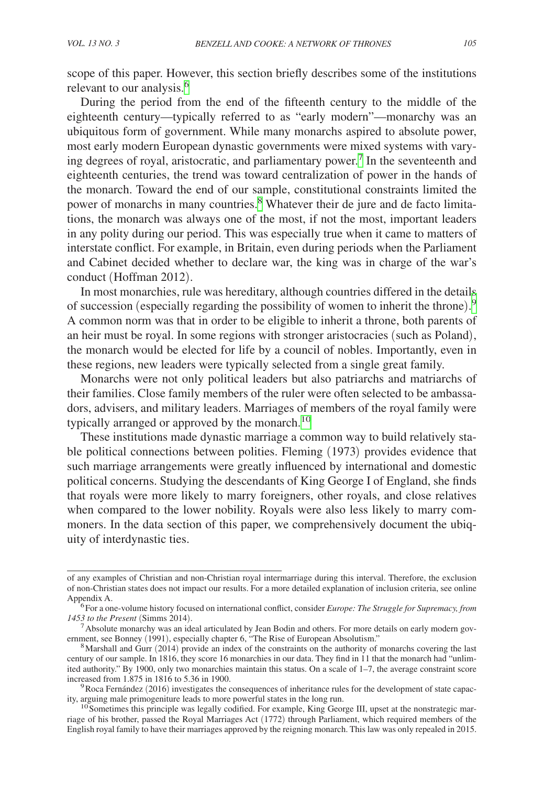scope of this paper. However, this section briefly describes some of the institutions relevant to our analysis.<sup>[6](#page-3-0)</sup>

During the period from the end of the fifteenth century to the middle of the eighteenth century—typically referred to as "early modern"—monarchy was an ubiquitous form of government. While many monarchs aspired to absolute power, most early modern European dynastic governments were mixed systems with vary-ing degrees of royal, aristocratic, and parliamentary power.<sup>[7](#page-3-1)</sup> In the seventeenth and eighteenth centuries, the trend was toward centralization of power in the hands of the monarch. Toward the end of our sample, constitutional constraints limited the power of monarchs in many countries.<sup>8</sup> Whatever their de jure and de facto limitations, the monarch was always one of the most, if not the most, important leaders in any polity during our period. This was especially true when it came to matters of interstate conflict. For example, in Britain, even during periods when the Parliament and Cabinet decided whether to declare war, the king was in charge of the war's conduct (Hoffman 2012).

In most monarchies, rule was hereditary, although countries differed in the details of succession (especially regarding the possibility of women to inherit the throne). [9](#page-3-3) A common norm was that in order to be eligible to inherit a throne, both parents of an heir must be royal. In some regions with stronger aristocracies (such as Poland), the monarch would be elected for life by a council of nobles. Importantly, even in these regions, new leaders were typically selected from a single great family.

Monarchs were not only political leaders but also patriarchs and matriarchs of their families. Close family members of the ruler were often selected to be ambassadors, advisers, and military leaders. Marriages of members of the royal family were typically arranged or approved by the monarch.<sup>[10](#page-3-4)</sup>

These institutions made dynastic marriage a common way to build relatively stable political connections between polities. Fleming (1973) provides evidence that such marriage arrangements were greatly influenced by international and domestic political concerns. Studying the descendants of King George I of England, she finds that royals were more likely to marry foreigners, other royals, and close relatives when compared to the lower nobility. Royals were also less likely to marry commoners. In the data section of this paper, we comprehensively document the ubiquity of interdynastic ties.

of any examples of Christian and non-Christian royal intermarriage during this interval. Therefore, the exclusion of non-Christian states does not impact our results. For a more detailed explanation of inclusion criteria, see online

<span id="page-3-0"></span><sup>&</sup>lt;sup>6</sup>For a one-volume history focused on international conflict, consider *Europe: The Struggle for Supremacy, from* 1453 to the Present (Simms 2014).

<span id="page-3-1"></span><sup>&</sup>lt;sup>7</sup> Absolute monarchy was an ideal articulated by Jean Bodin and others. For more details on early modern government, see Bonney (1991), especially chapter 6, "The Rise of European Absolutism."

<span id="page-3-2"></span><sup>&</sup>lt;sup>8</sup>Marshall and Gurr (2014) provide an index of the constraints on the authority of monarchs covering the last century of our sample. In 1816, they score 16 monarchies in our data. They find in 11 that the monarch had "unlimited authority." By 1900, only two monarchies maintain this status. On a scale of 1–7, the average constraint score

<span id="page-3-3"></span> $\degree$ Roca Fernández (2016) investigates the consequences of inheritance rules for the development of state capacity, arguing male primogeniture leads to more powerful states in the long run.

<span id="page-3-4"></span><sup>&</sup>lt;sup>10</sup> Sometimes this principle was legally codified. For example, King George III, upset at the nonstrategic marriage of his brother, passed the Royal Marriages Act (1772) through Parliament, which required members of the English royal family to have their marriages approved by the reigning monarch. This law was only repealed in 2015.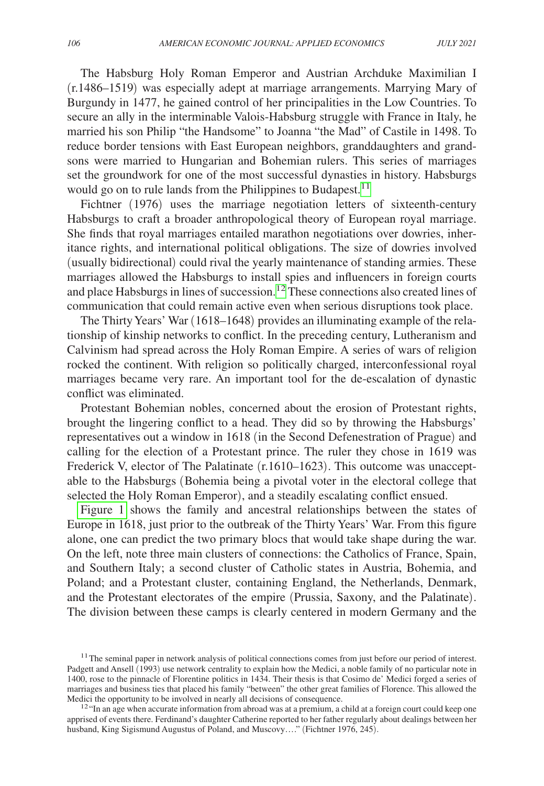The Habsburg Holy Roman Emperor and Austrian Archduke Maximilian I (r.1486–1519) was especially adept at marriage arrangements. Marrying Mary of Burgundy in 1477, he gained control of her principalities in the Low Countries. To secure an ally in the interminable Valois-Habsburg struggle with France in Italy, he married his son Philip "the Handsome" to Joanna "the Mad" of Castile in 1498. To reduce border tensions with East European neighbors, granddaughters and grandsons were married to Hungarian and Bohemian rulers. This series of marriages set the groundwork for one of the most successful dynasties in history. Habsburgs would go on to rule lands from the Philippines to Budapest.<sup>11</sup>

Fichtner (1976) uses the marriage negotiation letters of sixteenth-century Habsburgs to craft a broader anthropological theory of European royal marriage. She finds that royal marriages entailed marathon negotiations over dowries, inheritance rights, and international political obligations. The size of dowries involved (usually bidirectional) could rival the yearly maintenance of standing armies. These marriages allowed the Habsburgs to install spies and influencers in foreign courts and place Habsburgs in lines of succession.[12](#page-4-1) These connections also created lines of communication that could remain active even when serious disruptions took place.

The Thirty Years' War (1618–1648) provides an illuminating example of the relationship of kinship networks to conflict. In the preceding century, Lutheranism and Calvinism had spread across the Holy Roman Empire. A series of wars of religion rocked the continent. With religion so politically charged, interconfessional royal marriages became very rare. An important tool for the de-escalation of dynastic conflict was eliminated.

Protestant Bohemian nobles, concerned about the erosion of Protestant rights, brought the lingering conflict to a head. They did so by throwing the Habsburgs' representatives out a window in 1618 (in the Second Defenestration of Prague) and calling for the election of a Protestant prince. The ruler they chose in 1619 was Frederick V, elector of The Palatinate (r.1610–1623). This outcome was unacceptable to the Habsburgs (Bohemia being a pivotal voter in the electoral college that selected the Holy Roman Emperor), and a steadily escalating conflict ensued.

[Figure 1](#page-5-0) shows the family and ancestral relationships between the states of Europe in 1618, just prior to the outbreak of the Thirty Years' War. From this figure alone, one can predict the two primary blocs that would take shape during the war. On the left, note three main clusters of connections: the Catholics of France, Spain, and Southern Italy; a second cluster of Catholic states in Austria, Bohemia, and Poland; and a Protestant cluster, containing England, the Netherlands, Denmark, and the Protestant electorates of the empire (Prussia, Saxony, and the Palatinate). The division between these camps is clearly centered in modern Germany and the

<span id="page-4-0"></span><sup>&</sup>lt;sup>11</sup> The seminal paper in network analysis of political connections comes from just before our period of interest. Padgett and Ansell (1993) use network centrality to explain how the Medici, a noble family of no particular note in 1400, rose to the pinnacle of Florentine politics in 1434. Their thesis is that Cosimo de' Medici forged a series of marriages and business ties that placed his family "between" the other great families of Florence. This allowed the Medici the opportunity to be involved in nearly all decisions of consequence.

<span id="page-4-1"></span> $^{12}$  "In an age when accurate information from abroad was at a premium, a child at a foreign court could keep one apprised of events there. Ferdinand's daughter Catherine reported to her father regularly about dealings between her husband, King Sigismund Augustus of Poland, and Muscovy...." (Fichtner 1976, 245).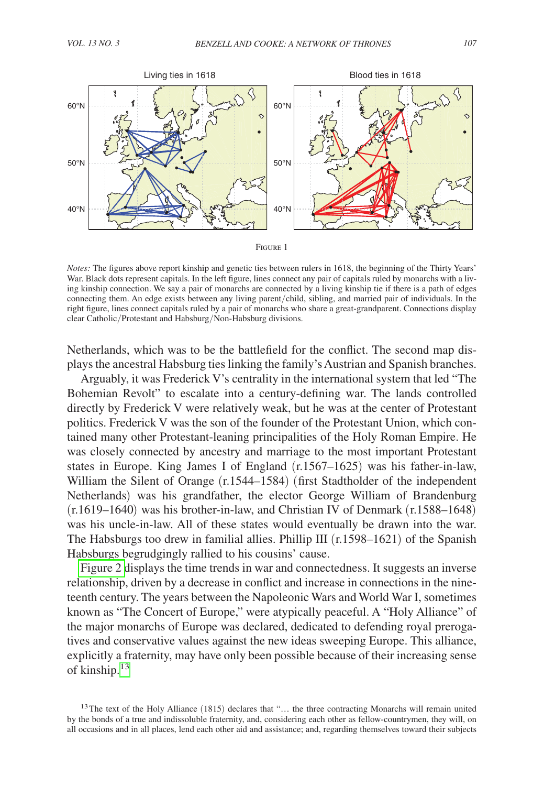<span id="page-5-0"></span>

*Notes:* The figures above report kinship and genetic ties between rulers in 1618, the beginning of the Thirty Years' War. Black dots represent capitals. In the left figure, lines connect any pair of capitals ruled by monarchs with a living kinship connection. We say a pair of monarchs are connected by a living kinship tie if there is a path of edges connecting them. An edge exists between any living parent/child, sibling, and married pair of individuals. In the right figure, lines connect capitals ruled by a pair of monarchs who share a great-grandparent. Connections display clear Catholic/Protestant and Habsburg/Non-Habsburg divisions.

Netherlands, which was to be the battlefield for the conflict. The second map displays the ancestral Habsburg ties linking the family's Austrian and Spanish branches.

Arguably, it was Frederick V's centrality in the international system that led "The Bohemian Revolt" to escalate into a century-defining war. The lands controlled directly by Frederick V were relatively weak, but he was at the center of Protestant politics. Frederick V was the son of the founder of the Protestant Union, which contained many other Protestant-leaning principalities of the Holy Roman Empire. He was closely connected by ancestry and marriage to the most important Protestant states in Europe. King James I of England (r.1567–1625) was his father-in-law, William the Silent of Orange (r.1544–1584) (first Stadtholder of the independent Netherlands) was his grandfather, the elector George William of Brandenburg (r.1619–1640) was his brother-in-law, and Christian IV of Denmark (r.1588–1648) was his uncle-in-law. All of these states would eventually be drawn into the war. The Habsburgs too drew in familial allies. Phillip III (r.1598–1621) of the Spanish Habsburgs begrudgingly rallied to his cousins' cause.

[Figure 2](#page-6-0) displays the time trends in war and connectedness. It suggests an inverse relationship, driven by a decrease in conflict and increase in connections in the nineteenth century. The years between the Napoleonic Wars and World War I, sometimes known as "The Concert of Europe," were atypically peaceful. A "Holy Alliance" of the major monarchs of Europe was declared, dedicated to defending royal prerogatives and conservative values against the new ideas sweeping Europe. This alliance, explicitly a fraternity, may have only been possible because of their increasing sense of kinship[.13](#page-5-1)

<span id="page-5-1"></span><sup>&</sup>lt;sup>13</sup>The text of the Holy Alliance (1815) declares that "... the three contracting Monarchs will remain united by the bonds of a true and indissoluble fraternity, and, considering each other as fellow-countrymen, they will, on all occasions and in all places, lend each other aid and assistance; and, regarding themselves toward their subjects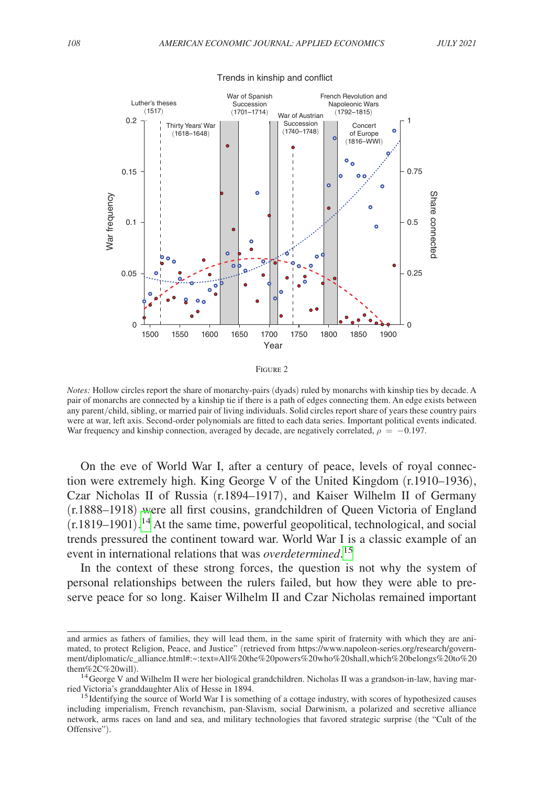<span id="page-6-0"></span>

#### Trends in kinship and conflict



*Notes:* Hollow circles report the share of monarchy-pairs (dyads) ruled by monarchs with kinship ties by decade. A pair of monarchs are connected by a kinship tie if there is a path of edges connecting them. An edge exists between any parent/child, sibling, or married pair of living individuals. Solid circles report share of years these country pairs were at war, left axis. Second-order polynomials are fitted to each data series. Important political events indicated. War frequency and kinship connection, averaged by decade, are negatively correlated,  $\rho = -0.197$ .

On the eve of World War I, after a century of peace, levels of royal connection were extremely high. King George V of the United Kingdom (r.1910–1936), Czar Nicholas II of Russia (r.1894–1917), and Kaiser Wilhelm II of Germany (r.1888–1918) were all first cousins, grandchildren of Queen Victoria of England  $(r.1819-1901)$ .<sup>14</sup> At the same time, powerful geopolitical, technological, and social trends pressured the continent toward war. World War I is a classic example of an event in international relations that was *overdetermined*. [15](#page-6-2)

In the context of these strong forces, the question is not why the system of personal relationships between the rulers failed, but how they were able to preserve peace for so long. Kaiser Wilhelm II and Czar Nicholas remained important

and armies as fathers of families, they will lead them, in the same spirit of fraternity with which they are animated, to protect Religion, Peace, and Justice" (retrieved from [https://www.napoleon-series.org/research/govern](https://www.napoleon-series.org/research/government/diplomatic/c_alliance.html#)[ment/diplomatic/c\\_alliance.html#:](https://www.napoleon-series.org/research/government/diplomatic/c_alliance.html#)~:text=All%20the%20powers%20who%20shall,which%20belongs%20to%20

<span id="page-6-1"></span><sup>&</sup>lt;sup>14</sup> George V and Wilhelm II were her biological grandchildren. Nicholas II was a grandson-in-law, having mar-<br>ried Victoria's granddaughter Alix of Hesse in 1894.

<span id="page-6-2"></span><sup>&</sup>lt;sup>15</sup> Identifying the source of World War I is something of a cottage industry, with scores of hypothesized causes including imperialism, French revanchism, pan-Slavism, social Darwinism, a polarized and secretive alliance network, arms races on land and sea, and military technologies that favored strategic surprise (the "Cult of the Offensive").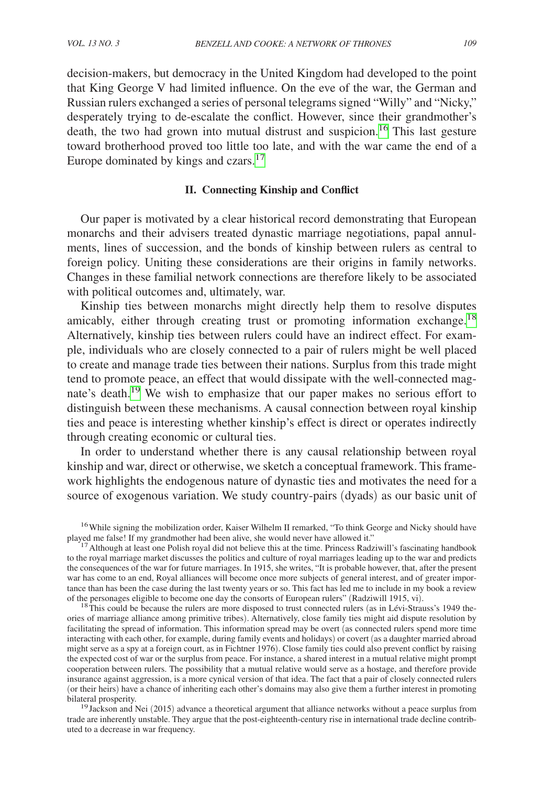decision-makers, but democracy in the United Kingdom had developed to the point that King George V had limited influence. On the eve of the war, the German and Russian rulers exchanged a series of personal telegrams signed "Willy" and "Nicky," desperately trying to de-escalate the conflict. However, since their grandmother's death, the two had grown into mutual distrust and suspicion.<sup>16</sup> This last gesture toward brotherhood proved too little too late, and with the war came the end of a Europe dominated by kings and czars.[17](#page-7-1)

## **II. Connecting Kinship and Conflict**

Our paper is motivated by a clear historical record demonstrating that European monarchs and their advisers treated dynastic marriage negotiations, papal annulments, lines of succession, and the bonds of kinship between rulers as central to foreign policy. Uniting these considerations are their origins in family networks. Changes in these familial network connections are therefore likely to be associated with political outcomes and, ultimately, war.

Kinship ties between monarchs might directly help them to resolve disputes amicably, either through creating trust or promoting information exchange.<sup>18</sup> Alternatively, kinship ties between rulers could have an indirect effect. For example, individuals who are closely connected to a pair of rulers might be well placed to create and manage trade ties between their nations. Surplus from this trade might tend to promote peace, an effect that would dissipate with the well-connected magnate's death.[19](#page-7-3) We wish to emphasize that our paper makes no serious effort to distinguish between these mechanisms. A causal connection between royal kinship ties and peace is interesting whether kinship's effect is direct or operates indirectly through creating economic or cultural ties.

In order to understand whether there is any causal relationship between royal kinship and war, direct or otherwise, we sketch a conceptual framework. This framework highlights the endogenous nature of dynastic ties and motivates the need for a source of exogenous variation. We study country-pairs (dyads) as our basic unit of

<span id="page-7-2"></span><sup>18</sup>This could be because the rulers are more disposed to trust connected rulers (as in Lévi-Strauss's 1949 theories of marriage alliance among primitive tribes). Alternatively, close family ties might aid dispute resolution by facilitating the spread of information. This information spread may be overt (as connected rulers spend more time interacting with each other, for example, during family events and holidays) or covert (as a daughter married abroad might serve as a spy at a foreign court, as in Fichtner 1976). Close family ties could also prevent conflict by raising the expected cost of war or the surplus from peace. For instance, a shared interest in a mutual relative might prompt cooperation between rulers. The possibility that a mutual relative would serve as a hostage, and therefore provide insurance against aggression, is a more cynical version of that idea. The fact that a pair of closely connected rulers (or their heirs) have a chance of inheriting each other's domains may also give them a further interest in promoting

<span id="page-7-3"></span> $^{19}$  Jackson and Nei (2015) advance a theoretical argument that alliance networks without a peace surplus from trade are inherently unstable. They argue that the post-eighteenth-century rise in international trade decline contributed to a decrease in war frequency.

<span id="page-7-0"></span><sup>&</sup>lt;sup>16</sup>While signing the mobilization order, Kaiser Wilhelm II remarked, "To think George and Nicky should have played me false! If my grandmother had been alive, she would never have allowed it."

<span id="page-7-1"></span><sup>&</sup>lt;sup>17</sup> Although at least one Polish royal did not believe this at the time. Princess Radziwill's fascinating handbook to the royal marriage market discusses the politics and culture of royal marriages leading up to the war and predicts the consequences of the war for future marriages. In 1915, she writes, "It is probable however, that, after the present war has come to an end, Royal alliances will become once more subjects of general interest, and of greater importance than has been the case during the last twenty years or so. This fact has led me to include in my book a review of the personages eligible to become one day the consorts of European rulers" (Radziwill 1915, vi).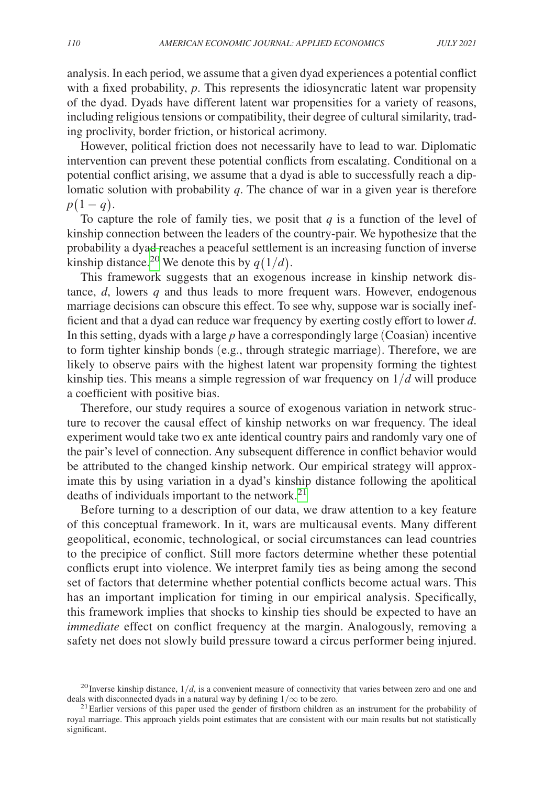analysis. In each period, we assume that a given dyad experiences a potential conflict with a fixed probability, *p*. This represents the idiosyncratic latent war propensity of the dyad. Dyads have different latent war propensities for a variety of reasons, including religious tensions or compatibility, their degree of cultural similarity, trading proclivity, border friction, or historical acrimony.

However, political friction does not necessarily have to lead to war. Diplomatic intervention can prevent these potential conflicts from escalating. Conditional on a potential conflict arising, we assume that a dyad is able to successfully reach a diplomatic solution with probability *q*. The chance of war in a given year is therefore  $p(1 - q)$ .

To capture the role of family ties, we posit that  $q$  is a function of the level of kinship connection between the leaders of the country-pair. We hypothesize that the probability a dyad reaches a peaceful settlement is an increasing function of inverse kinship distance.<sup>20</sup> We denote this by  $q(1/d)$ .

This framework suggests that an exogenous increase in kinship network distance, *d*, lowers *q* and thus leads to more frequent wars. However, endogenous marriage decisions can obscure this effect. To see why, suppose war is socially inefficient and that a dyad can reduce war frequency by exerting costly effort to lower *d*. In this setting, dyads with a large *p* have a correspondingly large (Coasian) incentive to form tighter kinship bonds (e.g., through strategic marriage). Therefore, we are likely to observe pairs with the highest latent war propensity forming the tightest kinship ties. This means a simple regression of war frequency on 1/*d* will produce a coefficient with positive bias.

Therefore, our study requires a source of exogenous variation in network structure to recover the causal effect of kinship networks on war frequency. The ideal experiment would take two ex ante identical country pairs and randomly vary one of the pair's level of connection. Any subsequent difference in conflict behavior would be attributed to the changed kinship network. Our empirical strategy will approximate this by using variation in a dyad's kinship distance following the apolitical deaths of individuals important to the network.<sup>[21](#page-8-1)</sup>

Before turning to a description of our data, we draw attention to a key feature of this conceptual framework. In it, wars are multicausal events. Many different geopolitical, economic, technological, or social circumstances can lead countries to the precipice of conflict. Still more factors determine whether these potential conflicts erupt into violence. We interpret family ties as being among the second set of factors that determine whether potential conflicts become actual wars. This has an important implication for timing in our empirical analysis. Specifically, this framework implies that shocks to kinship ties should be expected to have an *immediate* effect on conflict frequency at the margin. Analogously, removing a safety net does not slowly build pressure toward a circus performer being injured.

<span id="page-8-0"></span><sup>&</sup>lt;sup>20</sup> Inverse kinship distance,  $1/d$ , is a convenient measure of connectivity that varies between zero and one and deals with disconnected dyads in a natural way by defining  $1/\infty$  to be zero.

<span id="page-8-1"></span><sup>&</sup>lt;sup>21</sup> Earlier versions of this paper used the gender of firstborn children as an instrument for the probability of royal marriage. This approach yields point estimates that are consistent with our main results but not statistically significant.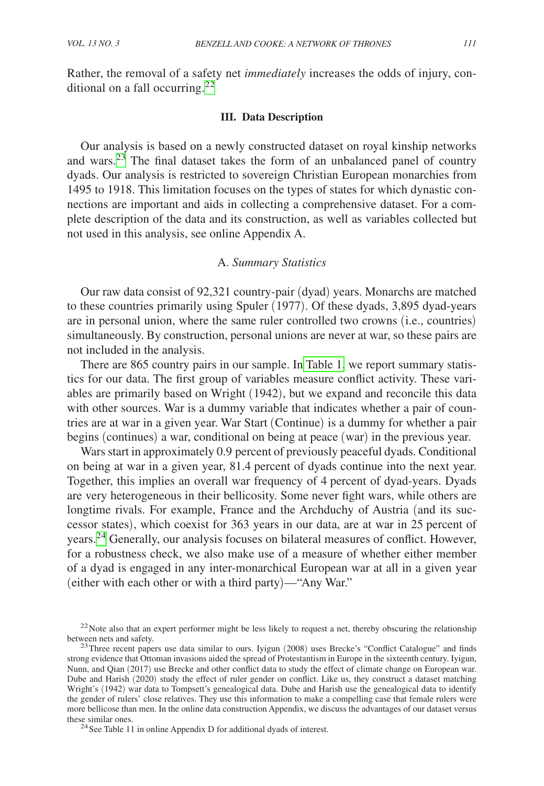# **III. Data Description**

Our analysis is based on a newly constructed dataset on royal kinship networks and wars. $23$  The final dataset takes the form of an unbalanced panel of country dyads. Our analysis is restricted to sovereign Christian European monarchies from 1495 to 1918. This limitation focuses on the types of states for which dynastic connections are important and aids in collecting a comprehensive dataset. For a complete description of the data and its construction, as well as variables collected but not used in this analysis, see online Appendix A.

#### A. *Summary Statistics*

Our raw data consist of 92,321 country-pair (dyad) years. Monarchs are matched to these countries primarily using Spuler (1977). Of these dyads, 3,895 dyad-years are in personal union, where the same ruler controlled two crowns (i.e., countries) simultaneously. By construction, personal unions are never at war, so these pairs are not included in the analysis.

There are 865 country pairs in our sample. In [Table 1,](#page-10-0) we report summary statistics for our data. The first group of variables measure conflict activity. These variables are primarily based on Wright (1942), but we expand and reconcile this data with other sources. War is a dummy variable that indicates whether a pair of countries are at war in a given year. War Start (Continue) is a dummy for whether a pair begins (continues) a war, conditional on being at peace (war) in the previous year.

Wars start in approximately 0.9 percent of previously peaceful dyads. Conditional on being at war in a given year, 81.4 percent of dyads continue into the next year. Together, this implies an overall war frequency of 4 percent of dyad-years. Dyads are very heterogeneous in their bellicosity. Some never fight wars, while others are longtime rivals. For example, France and the Archduchy of Austria (and its successor states), which coexist for 363 years in our data, are at war in 25 percent of years.[24](#page-9-2) Generally, our analysis focuses on bilateral measures of conflict. However, for a robustness check, we also make use of a measure of whether either member of a dyad is engaged in any inter-monarchical European war at all in a given year (either with each other or with a third party)—"Any War."

<span id="page-9-0"></span> $22$ Note also that an expert performer might be less likely to request a net, thereby obscuring the relationship between nets and safety.<br><sup>23</sup>Three recent papers use data similar to ours. Iyigun (2008) uses Brecke's "Conflict Catalogue" and finds

<span id="page-9-1"></span>strong evidence that Ottoman invasions aided the spread of Protestantism in Europe in the sixteenth century. Iyigun, Nunn, and Qian (2017) use Brecke and other conflict data to study the effect of climate change on European war. Dube and Harish (2020) study the effect of ruler gender on conflict. Like us, they construct a dataset matching Wright's (1942) war data to Tompsett's genealogical data. Dube and Harish use the genealogical data to identify the gender of rulers' close relatives. They use this information to make a compelling case that female rulers were more bellicose than men. In the online data construction Appendix, we discuss the advantages of our dataset versus these similar ones.<br><sup>24</sup>See Table 11 in online Appendix D for additional dyads of interest.

<span id="page-9-2"></span>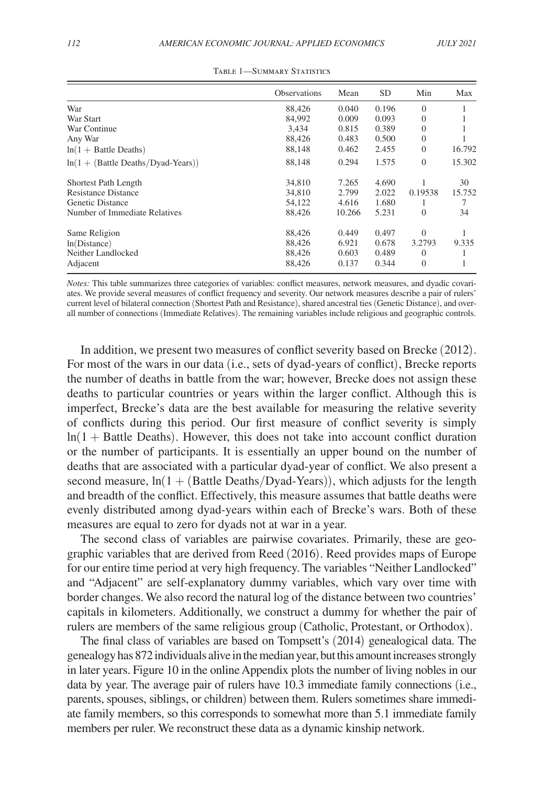<span id="page-10-0"></span>

|                                         | <b>Observations</b> | Mean   | <b>SD</b> | Min            | Max    |
|-----------------------------------------|---------------------|--------|-----------|----------------|--------|
| War                                     | 88,426              | 0.040  | 0.196     | $\Omega$       |        |
| War Start                               | 84,992              | 0.009  | 0.093     | $\Omega$       |        |
| War Continue                            | 3.434               | 0.815  | 0.389     | $\Omega$       |        |
| Any War                                 | 88,426              | 0.483  | 0.500     | $\Omega$       |        |
| $ln(1 + Battle$ Deaths)                 | 88,148              | 0.462  | 2.455     | $\Omega$       | 16.792 |
| $ln(1 + (Battle \t Deaths/Dyad-Years))$ | 88,148              | 0.294  | 1.575     | $\overline{0}$ | 15.302 |
| Shortest Path Length                    | 34,810              | 7.265  | 4.690     |                | 30     |
| <b>Resistance Distance</b>              | 34,810              | 2.799  | 2.022     | 0.19538        | 15.752 |
| Genetic Distance                        | 54,122              | 4.616  | 1.680     |                | 7      |
| Number of Immediate Relatives           | 88,426              | 10.266 | 5.231     | $\Omega$       | 34     |
| Same Religion                           | 88,426              | 0.449  | 0.497     | $\Omega$       |        |
| ln(Distance)                            | 88.426              | 6.921  | 0.678     | 3.2793         | 9.335  |
| Neither Landlocked                      | 88,426              | 0.603  | 0.489     | $\theta$       |        |
| Adjacent                                | 88,426              | 0.137  | 0.344     | $\Omega$       |        |

|  | TABLE 1—SUMMARY STATISTICS |  |
|--|----------------------------|--|
|--|----------------------------|--|

*Notes:* This table summarizes three categories of variables: conflict measures, network measures, and dyadic covariates. We provide several measures of conflict frequency and severity. Our network measures describe a pair of rulers' current level of bilateral connection (Shortest Path and Resistance), shared ancestral ties (Genetic Distance), and overall number of connections (Immediate Relatives). The remaining variables include religious and geographic controls.

In addition, we present two measures of conflict severity based on Brecke (2012). For most of the wars in our data (i.e., sets of dyad-years of conflict), Brecke reports the number of deaths in battle from the war; however, Brecke does not assign these deaths to particular countries or years within the larger conflict. Although this is imperfect, Brecke's data are the best available for measuring the relative severity of conflicts during this period. Our first measure of conflict severity is simply  $ln(1 + Battle$  Deaths). However, this does not take into account conflict duration or the number of participants. It is essentially an upper bound on the number of deaths that are associated with a particular dyad-year of conflict. We also present a second measure,  $ln(1 + (Battle \, Deaths/Dyad-Years))$ , which adjusts for the length and breadth of the conflict. Effectively, this measure assumes that battle deaths were evenly distributed among dyad-years within each of Brecke's wars. Both of these measures are equal to zero for dyads not at war in a year.

The second class of variables are pairwise covariates. Primarily, these are geographic variables that are derived from Reed (2016). Reed provides maps of Europe for our entire time period at very high frequency. The variables "Neither Landlocked" and "Adjacent" are self-explanatory dummy variables, which vary over time with border changes. We also record the natural log of the distance between two countries' capitals in kilometers. Additionally, we construct a dummy for whether the pair of rulers are members of the same religious group (Catholic, Protestant, or Orthodox).

The final class of variables are based on Tompsett's (2014) genealogical data. The genealogy has 872 individuals alive in the median year, but this amount increases strongly in later years. Figure 10 in the online Appendix plots the number of living nobles in our data by year. The average pair of rulers have 10.3 immediate family connections (i.e., parents, spouses, siblings, or children) between them. Rulers sometimes share immediate family members, so this corresponds to somewhat more than 5.1 immediate family members per ruler. We reconstruct these data as a dynamic kinship network.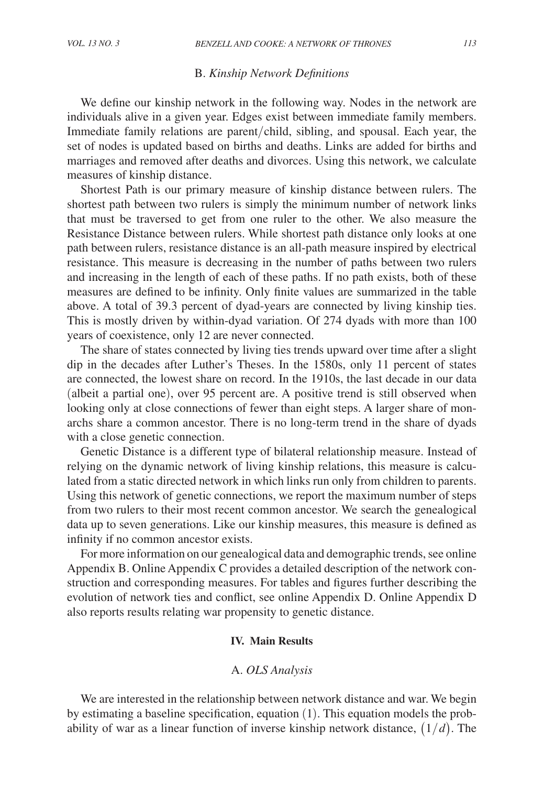# B. *Kinship Network Definitions*

We define our kinship network in the following way. Nodes in the network are individuals alive in a given year. Edges exist between immediate family members. Immediate family relations are parent/child, sibling, and spousal. Each year, the set of nodes is updated based on births and deaths. Links are added for births and marriages and removed after deaths and divorces. Using this network, we calculate measures of kinship distance.

Shortest Path is our primary measure of kinship distance between rulers. The shortest path between two rulers is simply the minimum number of network links that must be traversed to get from one ruler to the other. We also measure the Resistance Distance between rulers. While shortest path distance only looks at one path between rulers, resistance distance is an all-path measure inspired by electrical resistance. This measure is decreasing in the number of paths between two rulers and increasing in the length of each of these paths. If no path exists, both of these measures are defined to be infinity. Only finite values are summarized in the table above. A total of 39.3 percent of dyad-years are connected by living kinship ties. This is mostly driven by within-dyad variation. Of 274 dyads with more than 100 years of coexistence, only 12 are never connected.

The share of states connected by living ties trends upward over time after a slight dip in the decades after Luther's Theses. In the 1580s, only 11 percent of states are connected, the lowest share on record. In the 1910s, the last decade in our data (albeit a partial one), over 95 percent are. A positive trend is still observed when looking only at close connections of fewer than eight steps. A larger share of monarchs share a common ancestor. There is no long-term trend in the share of dyads with a close genetic connection.

Genetic Distance is a different type of bilateral relationship measure. Instead of relying on the dynamic network of living kinship relations, this measure is calculated from a static directed network in which links run only from children to parents. Using this network of genetic connections, we report the maximum number of steps from two rulers to their most recent common ancestor. We search the genealogical data up to seven generations. Like our kinship measures, this measure is defined as infinity if no common ancestor exists.

For more information on our genealogical data and demographic trends, see online Appendix B. Online Appendix C provides a detailed description of the network construction and corresponding measures. For tables and figures further describing the evolution of network ties and conflict, see online Appendix D. Online Appendix D also reports results relating war propensity to genetic distance.

# **IV. Main Results**

# A. *OLS Analysis*

We are interested in the relationship between network distance and war. We begin by estimating a baseline specification, equation (1). This equation models the probability of war as a linear function of inverse kinship network distance, (1/*d*). The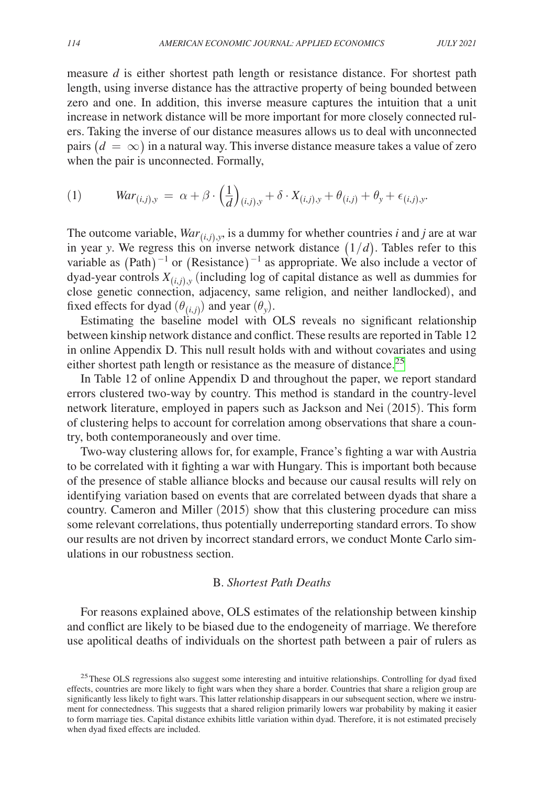measure *d* is either shortest path length or resistance distance. For shortest path length, using inverse distance has the attractive property of being bounded between zero and one. In addition, this inverse measure captures the intuition that a unit increase in network distance will be more important for more closely connected rulers. Taking the inverse of our distance measures allows us to deal with unconnected pairs  $(d = \infty)$  in a natural way. This inverse distance measure takes a value of zero when the pair is unconnected. Formally,

(1) 
$$
War_{(i,j),y} = \alpha + \beta \cdot \left(\frac{1}{d}\right)_{(i,j),y} + \delta \cdot X_{(i,j),y} + \theta_{(i,j)} + \theta_y + \epsilon_{(i,j),y}.
$$

The outcome variable,  $War_{(i,j),y}$ , is a dummy for whether countries *i* and *j* are at war in year *y*. We regress this on inverse network distance  $(1/d)$ . Tables refer to this variable as  $(Path)^{-1}$  or  $(Resistance)^{-1}$  as appropriate. We also include a vector of dyad-year controls  $X_{(i,j),y}$  (including log of capital distance as well as dummies for close genetic connection, adjacency, same religion, and neither landlocked), and fixed effects for dyad  $(\theta_{(i,j)})$  and year  $(\theta_y)$ .

Estimating the baseline model with OLS reveals no significant relationship between kinship network distance and conflict. These results are reported in Table 12 in online Appendix D. This null result holds with and without covariates and using either shortest path length or resistance as the measure of distance.<sup>[25](#page-12-0)</sup>

In Table 12 of online Appendix D and throughout the paper, we report standard errors clustered two-way by country. This method is standard in the country-level network literature, employed in papers such as Jackson and Nei (2015). This form of clustering helps to account for correlation among observations that share a country, both contemporaneously and over time.

Two-way clustering allows for, for example, France's fighting a war with Austria to be correlated with it fighting a war with Hungary. This is important both because of the presence of stable alliance blocks and because our causal results will rely on identifying variation based on events that are correlated between dyads that share a country. Cameron and Miller (2015) show that this clustering procedure can miss some relevant correlations, thus potentially underreporting standard errors. To show our results are not driven by incorrect standard errors, we conduct Monte Carlo simulations in our robustness section.

# B. *Shortest Path Deaths*

For reasons explained above, OLS estimates of the relationship between kinship and conflict are likely to be biased due to the endogeneity of marriage. We therefore use apolitical deaths of individuals on the shortest path between a pair of rulers as

<span id="page-12-0"></span><sup>&</sup>lt;sup>25</sup>These OLS regressions also suggest some interesting and intuitive relationships. Controlling for dyad fixed effects, countries are more likely to fight wars when they share a border. Countries that share a religion group are significantly less likely to fight wars. This latter relationship disappears in our subsequent section, where we instrument for connectedness. This suggests that a shared religion primarily lowers war probability by making it easier to form marriage ties. Capital distance exhibits little variation within dyad. Therefore, it is not estimated precisely when dyad fixed effects are included.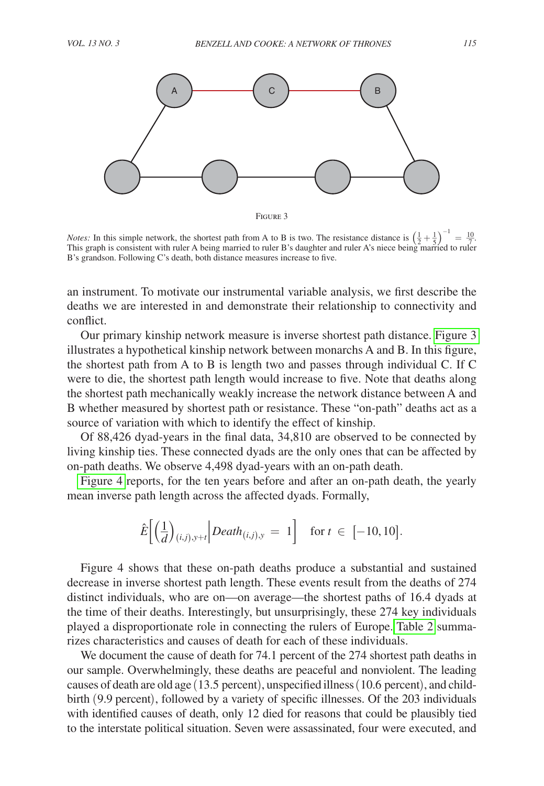

Figure 3

*Notes:* In this simple network, the shortest path from A to B is two. The resistance distance is  $\left(\frac{1}{2} + \frac{1}{5}\right)$ −1  $=\frac{10}{7}$ This graph is consistent with ruler A being married to ruler B's daughter and ruler A's niece being married to ruler This graph is consistent with ruler A being married to ruler B's daughter and ruler A's niece being marr  $\frac{1}{2}$ . B's grandson. Following C's death, both distance measures increase to five.

an instrument. To motivate our instrumental variable analysis, we first describe the deaths we are interested in and demonstrate their relationship to connectivity and conflict.

Our primary kinship network measure is inverse shortest path distance. Figure 3 illustrates a hypothetical kinship network between monarchs A and B. In this figure, the shortest path from A to B is length two and passes through individual C. If C were to die, the shortest path length would increase to five. Note that deaths along the shortest path mechanically weakly increase the network distance between A and B whether measured by shortest path or resistance. These "on-path" deaths act as a source of variation with which to identify the effect of kinship.

Of 88,426 dyad-years in the final data, 34,810 are observed to be connected by living kinship ties. These connected dyads are the only ones that can be affected by on-path deaths. We observe 4,498 dyad-years with an on-path death.

[Figure 4](#page-14-0) reports, for the ten years before and after an on-path death, the yearly mean inverse path length across the affected dyads. Formally,

$$
\hat{E}\left[\left(\frac{1}{d}\right)_{(i,j),y+t}\middle| Death_{(i,j),y} = 1\right] \text{ for } t \in [-10, 10].
$$

Figure 4 shows that these on-path deaths produce a substantial and sustained decrease in inverse shortest path length. These events result from the deaths of 274 distinct individuals, who are on—on average—the shortest paths of 16.4 dyads at the time of their deaths. Interestingly, but unsurprisingly, these 274 key individuals played a disproportionate role in connecting the rulers of Europe. [Table 2](#page-14-0) summarizes characteristics and causes of death for each of these individuals.

We document the cause of death for 74.1 percent of the 274 shortest path deaths in our sample. Overwhelmingly, these deaths are peaceful and nonviolent. The leading causes of death are old age (13.5 percent), unspecified illness (10.6 percent), and childbirth (9.9 percent), followed by a variety of specific illnesses. Of the 203 individuals with identified causes of death, only 12 died for reasons that could be plausibly tied to the interstate political situation. Seven were assassinated, four were executed, and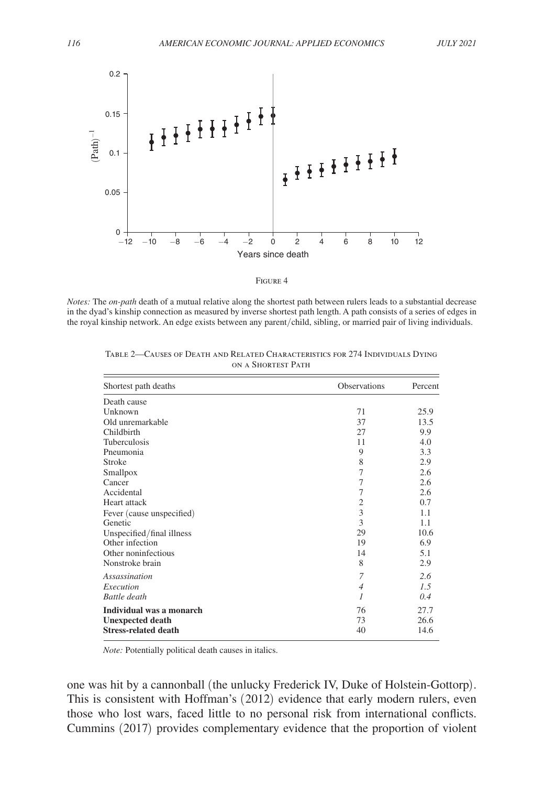<span id="page-14-0"></span>

|--|--|

*Notes:* The *on-path* death of a mutual relative along the shortest path between rulers leads to a substantial decrease in the dyad's kinship connection as measured by inverse shortest path length. A path consists of a series of edges in the royal kinship network. An edge exists between any parent/child, sibling, or married pair of living individuals.

| Shortest path deaths        | Observations   | Percent |
|-----------------------------|----------------|---------|
| Death cause                 |                |         |
| Unknown                     | 71             | 25.9    |
| Old unremarkable            | 37             | 13.5    |
| Childbirth                  | 27             | 9.9     |
| Tuberculosis                | 11             | 4.0     |
| Pneumonia                   | 9              | 3.3     |
| <b>Stroke</b>               | 8              | 2.9     |
| Smallpox                    | 7              | 2.6     |
| Cancer                      | 7              | 2.6     |
| Accidental                  | 7              | 2.6     |
| Heart attack                | 2              | 0.7     |
| Fever (cause unspecified)   | 3              | 1.1     |
| Genetic                     | 3              | 1.1     |
| Unspecified/final illness   | 29             | 10.6    |
| Other infection             | 19             | 6.9     |
| Other noninfectious         | 14             | 5.1     |
| Nonstroke brain             | 8              | 2.9     |
| Assassination               | 7              | 2.6     |
| Execution                   | $\overline{4}$ | 1.5     |
| Battle death                | 1              | 0.4     |
| Individual was a monarch    | 76             | 27.7    |
| <b>Unexpected death</b>     | 73             | 26.6    |
| <b>Stress-related death</b> | 40             | 14.6    |

Table 2—Causes of Death and Related Characteristics for 274 Individuals Dying on a Shortest Path

*Note:* Potentially political death causes in italics.

one was hit by a cannonball (the unlucky Frederick IV, Duke of Holstein-Gottorp). This is consistent with Hoffman's (2012) evidence that early modern rulers, even those who lost wars, faced little to no personal risk from international conflicts. Cummins (2017) provides complementary evidence that the proportion of violent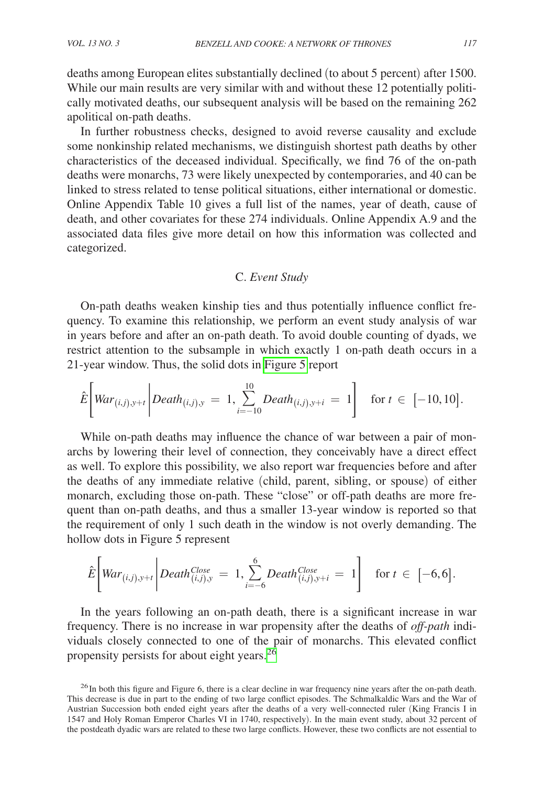deaths among European elites substantially declined (to about 5 percent) after 1500. While our main results are very similar with and without these 12 potentially politically motivated deaths, our subsequent analysis will be based on the remaining 262 apolitical on-path deaths.

In further robustness checks, designed to avoid reverse causality and exclude some nonkinship related mechanisms, we distinguish shortest path deaths by other characteristics of the deceased individual. Specifically, we find 76 of the on-path deaths were monarchs, 73 were likely unexpected by contemporaries, and 40 can be linked to stress related to tense political situations, either international or domestic. Online Appendix Table 10 gives a full list of the names, year of death, cause of death, and other covariates for these 274 individuals. Online Appendix A.9 and the associated data files give more detail on how this information was collected and categorized.

# C. *Event Study*

On-path deaths weaken kinship ties and thus potentially influence conflict frequency. To examine this relationship, we perform an event study analysis of war in years before and after an on-path death. To avoid double counting of dyads, we restrict attention to the subsample in which exactly 1 on-path death occurs in a 21-year window. Thus, the solid dots in [Figure 5](#page-16-0) report

$$
\hat{E}\bigg[War_{(i,j),y+t}\bigg| Death_{(i,j),y} = 1, \sum_{i=-10}^{10} Death_{(i,j),y+i} = 1\bigg] \text{ for } t \in [-10, 10].
$$

While on-path deaths may influence the chance of war between a pair of monarchs by lowering their level of connection, they conceivably have a direct effect as well. To explore this possibility, we also report war frequencies before and after the deaths of any immediate relative (child, parent, sibling, or spouse) of either monarch, excluding those on-path. These "close" or off-path deaths are more frequent than on-path deaths, and thus a smaller 13-year window is reported so that the requirement of only 1 such death in the window is not overly demanding. The hollow dots in Figure 5 represent

$$
\hat{E}\left[\text{War}_{(i,j),y+t}\middle|\text{Death}_{(i,j),y}^{\text{Close}}=1,\sum_{i=-6}^{6}\text{Death}_{(i,j),y+i}^{\text{Close}}=1\right] \text{ for } t \in [-6,6].
$$

In the years following an on-path death, there is a significant increase in war frequency. There is no increase in war propensity after the deaths of *off-path* individuals closely connected to one of the pair of monarchs. This elevated conflict propensity persists for about eight years.<sup>26</sup>

<span id="page-15-0"></span> $^{26}$ In both this figure and Figure 6, there is a clear decline in war frequency nine years after the on-path death. This decrease is due in part to the ending of two large conflict episodes. The Schmalkaldic Wars and the War of Austrian Succession both ended eight years after the deaths of a very well-connected ruler (King Francis I in 1547 and Holy Roman Emperor Charles VI in 1740, respectively). In the main event study, about 32 percent of the postdeath dyadic wars are related to these two large conflicts. However, these two conflicts are not essential to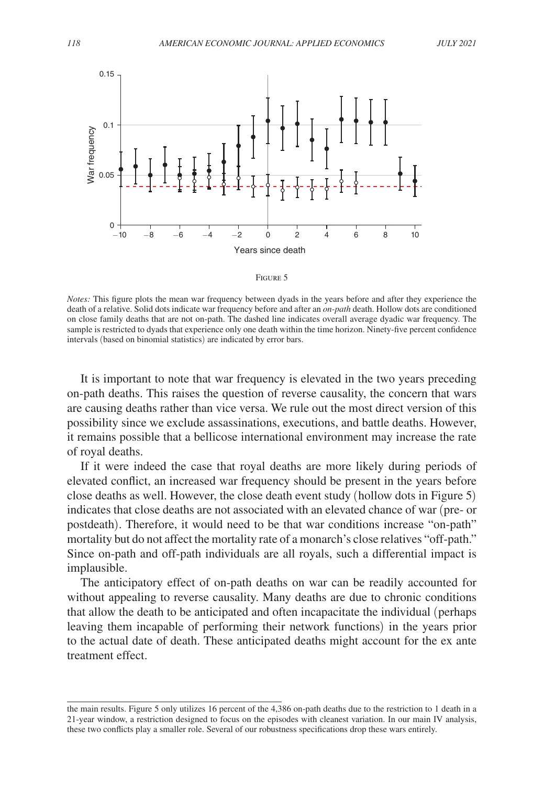<span id="page-16-0"></span>



*Notes:* This figure plots the mean war frequency between dyads in the years before and after they experience the death of a relative. Solid dots indicate war frequency before and after an *on-path* death. Hollow dots are conditioned on close family deaths that are not on-path. The dashed line indicates overall average dyadic war frequency. The sample is restricted to dyads that experience only one death within the time horizon. Ninety-five percent confidence intervals (based on binomial statistics) are indicated by error bars.

It is important to note that war frequency is elevated in the two years preceding on-path deaths. This raises the question of reverse causality, the concern that wars are causing deaths rather than vice versa. We rule out the most direct version of this possibility since we exclude assassinations, executions, and battle deaths. However, it remains possible that a bellicose international environment may increase the rate of royal deaths.

If it were indeed the case that royal deaths are more likely during periods of elevated conflict, an increased war frequency should be present in the years before close deaths as well. However, the close death event study (hollow dots in Figure 5) indicates that close deaths are not associated with an elevated chance of war (pre- or postdeath). Therefore, it would need to be that war conditions increase "on-path" mortality but do not affect the mortality rate of a monarch's close relatives "off-path." Since on-path and off-path individuals are all royals, such a differential impact is implausible.

The anticipatory effect of on-path deaths on war can be readily accounted for without appealing to reverse causality. Many deaths are due to chronic conditions that allow the death to be anticipated and often incapacitate the individual (perhaps leaving them incapable of performing their network functions) in the years prior to the actual date of death. These anticipated deaths might account for the ex ante treatment effect.

the main results. Figure 5 only utilizes 16 percent of the 4,386 on-path deaths due to the restriction to 1 death in a 21-year window, a restriction designed to focus on the episodes with cleanest variation. In our main IV analysis, these two conflicts play a smaller role. Several of our robustness specifications drop these wars entirely.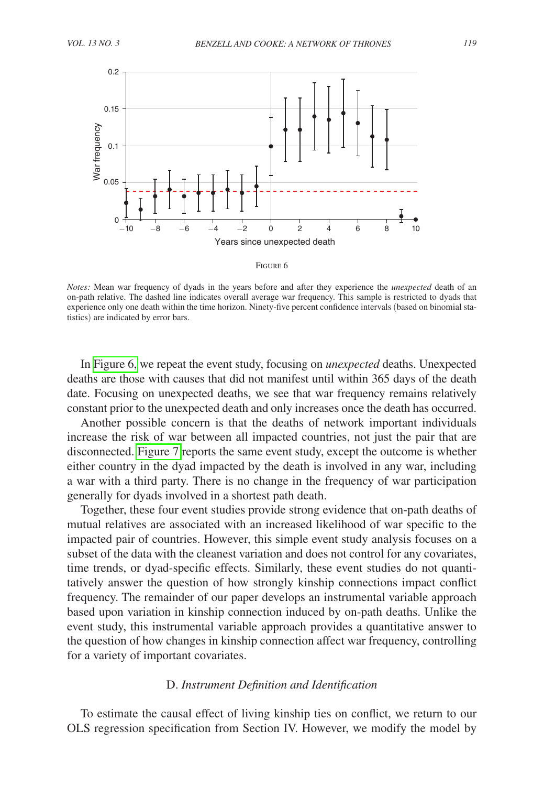

*Notes:* Mean war frequency of dyads in the years before and after they experience the *unexpected* death of an on-path relative. The dashed line indicates overall average war frequency. This sample is restricted to dyads that experience only one death within the time horizon. Ninety-five percent confidence intervals (based on binomial statistics) are indicated by error bars.

In Figure 6, we repeat the event study, focusing on *unexpected* deaths. Unexpected deaths are those with causes that did not manifest until within 365 days of the death date. Focusing on unexpected deaths, we see that war frequency remains relatively constant prior to the unexpected death and only increases once the death has occurred.

Another possible concern is that the deaths of network important individuals increase the risk of war between all impacted countries, not just the pair that are disconnected. [Figure 7](#page-18-0) reports the same event study, except the outcome is whether either country in the dyad impacted by the death is involved in any war, including a war with a third party. There is no change in the frequency of war participation generally for dyads involved in a shortest path death.

Together, these four event studies provide strong evidence that on-path deaths of mutual relatives are associated with an increased likelihood of war specific to the impacted pair of countries. However, this simple event study analysis focuses on a subset of the data with the cleanest variation and does not control for any covariates, time trends, or dyad-specific effects. Similarly, these event studies do not quantitatively answer the question of how strongly kinship connections impact conflict frequency. The remainder of our paper develops an instrumental variable approach based upon variation in kinship connection induced by on-path deaths. Unlike the event study, this instrumental variable approach provides a quantitative answer to the question of how changes in kinship connection affect war frequency, controlling for a variety of important covariates.

# D. *Instrument Definition and Identification*

To estimate the causal effect of living kinship ties on conflict, we return to our OLS regression specification from Section IV. However, we modify the model by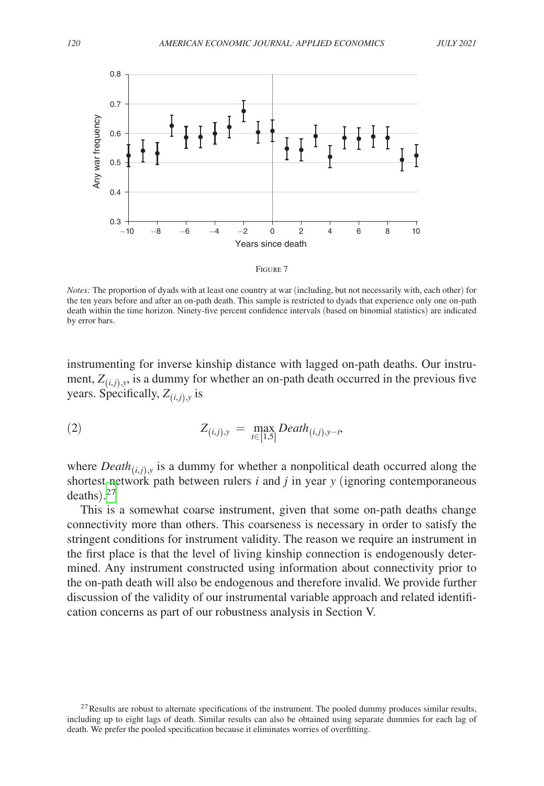<span id="page-18-0"></span>

*Notes:* The proportion of dyads with at least one country at war (including, but not necessarily with, each other) for the ten years before and after an on-path death. This sample is restricted to dyads that experience only one on-path death within the time horizon. Ninety-five percent confidence intervals (based on binomial statistics) are indicated by error bars.

instrumenting for inverse kinship distance with lagged on-path deaths. Our instrument,  $Z_{(i,i),y}$ , is a dummy for whether an on-path death occurred in the previous five years. Specifically,  $Z_{(i,j),y}$  is

(2) 
$$
Z_{(i,j),y} = \max_{t \in [1,5]} Death_{(i,j),y-t},
$$

where  $Death_{(i,j),y}$  is a dummy for whether a nonpolitical death occurred along the shortest network path between rulers *i* and *j* in year *y* (ignoring contemporaneous deaths). [27](#page-18-1)

This is a somewhat coarse instrument, given that some on-path deaths change connectivity more than others. This coarseness is necessary in order to satisfy the stringent conditions for instrument validity. The reason we require an instrument in the first place is that the level of living kinship connection is endogenously determined. Any instrument constructed using information about connectivity prior to the on-path death will also be endogenous and therefore invalid. We provide further discussion of the validity of our instrumental variable approach and related identification concerns as part of our robustness analysis in Section V.

<span id="page-18-1"></span> $^{27}$ Results are robust to alternate specifications of the instrument. The pooled dummy produces similar results, including up to eight lags of death. Similar results can also be obtained using separate dummies for each lag of death. We prefer the pooled specification because it eliminates worries of overfitting.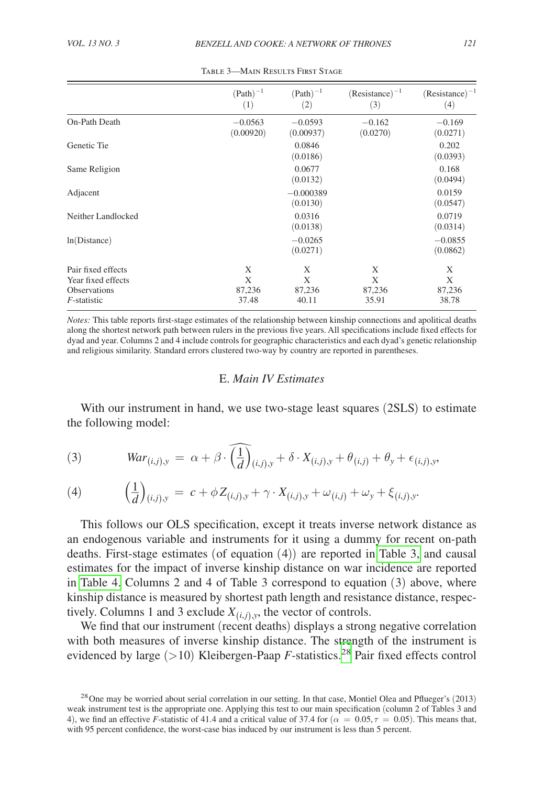|                                                                                   | $(Path)^{-1}$<br>(1)      | $(Path)^{-1}$<br>(2)      | $(Resistance)^{-1}$<br>(3) | $(Resistance)^{-1}$<br>(4) |
|-----------------------------------------------------------------------------------|---------------------------|---------------------------|----------------------------|----------------------------|
| On-Path Death                                                                     | $-0.0563$<br>(0.00920)    | $-0.0593$<br>(0.00937)    | $-0.162$<br>(0.0270)       | $-0.169$<br>(0.0271)       |
| Genetic Tie                                                                       |                           | 0.0846<br>(0.0186)        |                            | 0.202<br>(0.0393)          |
| Same Religion                                                                     |                           | 0.0677<br>(0.0132)        |                            | 0.168<br>(0.0494)          |
| Adjacent                                                                          |                           | $-0.000389$<br>(0.0130)   |                            | 0.0159<br>(0.0547)         |
| Neither Landlocked                                                                |                           | 0.0316<br>(0.0138)        |                            | 0.0719<br>(0.0314)         |
| ln(Distance)                                                                      |                           | $-0.0265$<br>(0.0271)     |                            | $-0.0855$<br>(0.0862)      |
| Pair fixed effects<br>Year fixed effects<br><b>Observations</b><br>$F$ -statistic | X<br>X<br>87,236<br>37.48 | X<br>X<br>87,236<br>40.11 | X<br>X<br>87,236<br>35.91  | X<br>X<br>87,236<br>38.78  |

Table 3—Main Results First Stage

*Notes:* This table reports first-stage estimates of the relationship between kinship connections and apolitical deaths along the shortest network path between rulers in the previous five years. All specifications include fixed effects for dyad and year. Columns 2 and 4 include controls for geographic characteristics and each dyad's genetic relationship and religious similarity. Standard errors clustered two-way by country are reported in parentheses.

# E. *Main IV Estimates*

With our instrument in hand, we use two-stage least squares (2SLS) to estimate the following model:

(3) 
$$
War_{(i,j),y} = \alpha + \beta \cdot \widehat{\left(\frac{1}{d}\right)}_{(i,j),y} + \delta \cdot X_{(i,j),y} + \theta_{(i,j)} + \theta_y + \epsilon_{(i,j),y},
$$

(4) 
$$
\left(\frac{1}{d}\right)_{(i,j),y} = c + \phi Z_{(i,j),y} + \gamma \cdot X_{(i,j),y} + \omega_{(i,j)} + \omega_y + \xi_{(i,j),y}.
$$

\_1

This follows our OLS specification, except it treats inverse network distance as an endogenous variable and instruments for it using a dummy for recent on-path deaths. First-stage estimates (of equation (4)) are reported in Table 3, and causal estimates for the impact of inverse kinship distance on war incidence are reported in [Table 4.](#page-20-0) Columns 2 and 4 of Table 3 correspond to equation (3) above, where kinship distance is measured by shortest path length and resistance distance, respectively. Columns 1 and 3 exclude  $X_{(i,j),y}$ , the vector of controls.

We find that our instrument (recent deaths) displays a strong negative correlation with both measures of inverse kinship distance. The strength of the instrument is evidenced by large  $(>10)$  Kleibergen-Paap *F*-statistics.<sup>28</sup> Pair fixed effects control

<span id="page-19-0"></span><sup>&</sup>lt;sup>28</sup> One may be worried about serial correlation in our setting. In that case, Montiel Olea and Pflueger's (2013) weak instrument test is the appropriate one. Applying this test to our main specification (column 2 of Tables 3 and 4), we find an effective *F*-statistic of 41.4 and a critical value of 37.4 for ( $\alpha = 0.05, \tau = 0.05$ ). This means that, with 95 percent confidence, the worst-case bias induced by our instrument is less than 5 percent.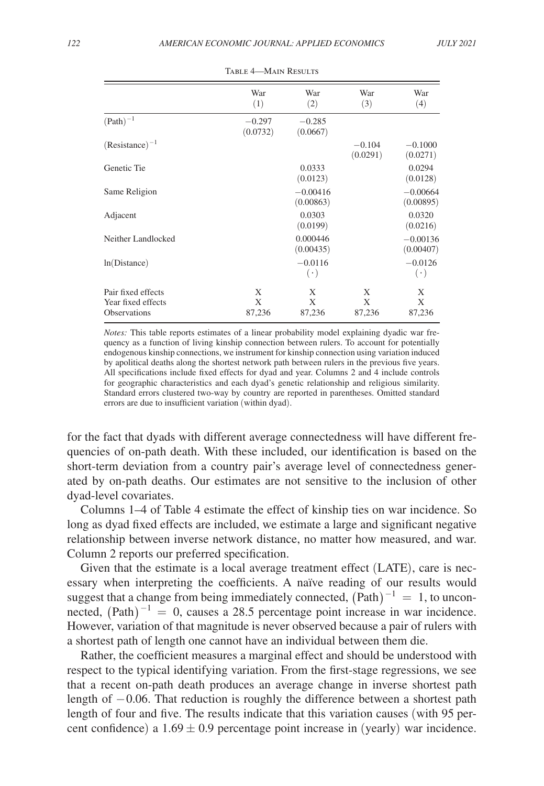<span id="page-20-0"></span>

|                                                                 | War<br>(1)           | War<br>(2)              | War<br>(3)           | War<br>(4)              |
|-----------------------------------------------------------------|----------------------|-------------------------|----------------------|-------------------------|
| $(Path)^{-1}$                                                   | $-0.297$<br>(0.0732) | $-0.285$<br>(0.0667)    |                      |                         |
| $(Resistance)^{-1}$                                             |                      |                         | $-0.104$<br>(0.0291) | $-0.1000$<br>(0.0271)   |
| Genetic Tie                                                     |                      | 0.0333<br>(0.0123)      |                      | 0.0294<br>(0.0128)      |
| Same Religion                                                   |                      | $-0.00416$<br>(0.00863) |                      | $-0.00664$<br>(0.00895) |
| Adjacent                                                        |                      | 0.0303<br>(0.0199)      |                      | 0.0320<br>(0.0216)      |
| Neither Landlocked                                              |                      | 0.000446<br>(0.00435)   |                      | $-0.00136$<br>(0.00407) |
| ln(Distance)                                                    |                      | $-0.0116$<br>$(\cdot)$  |                      | $-0.0126$<br>$(\cdot)$  |
| Pair fixed effects<br>Year fixed effects<br><b>Observations</b> | X<br>X<br>87,236     | X<br>X<br>87,236        | X<br>X<br>87,236     | X<br>Χ<br>87,236        |

TABLE 4-MAIN RESULTS

*Notes:* This table reports estimates of a linear probability model explaining dyadic war frequency as a function of living kinship connection between rulers. To account for potentially endogenous kinship connections, we instrument for kinship connection using variation induced by apolitical deaths along the shortest network path between rulers in the previous five years. All specifications include fixed effects for dyad and year. Columns 2 and 4 include controls for geographic characteristics and each dyad's genetic relationship and religious similarity. Standard errors clustered two-way by country are reported in parentheses. Omitted standard errors are due to insufficient variation (within dyad).

for the fact that dyads with different average connectedness will have different frequencies of on-path death. With these included, our identification is based on the short-term deviation from a country pair's average level of connectedness generated by on-path deaths. Our estimates are not sensitive to the inclusion of other dyad-level covariates.

Columns 1–4 of Table 4 estimate the effect of kinship ties on war incidence. So long as dyad fixed effects are included, we estimate a large and significant negative relationship between inverse network distance, no matter how measured, and war. Column 2 reports our preferred specification.

Given that the estimate is a local average treatment effect (LATE), care is necessary when interpreting the coefficients. A naïve reading of our results would suggest that a change from being immediately connected,  $(Path)^{-1} = 1$ , to unconnected,  $(Path)^{-1} = 0$ , causes a 28.5 percentage point increase in war incidence. However, variation of that magnitude is never observed because a pair of rulers with a shortest path of length one cannot have an individual between them die.

Rather, the coefficient measures a marginal effect and should be understood with respect to the typical identifying variation. From the first-stage regressions, we see that a recent on-path death produces an average change in inverse shortest path length of −0.06. That reduction is roughly the difference between a shortest path length of four and five. The results indicate that this variation causes (with 95 percent confidence) a  $1.69 \pm 0.9$  percentage point increase in (yearly) war incidence.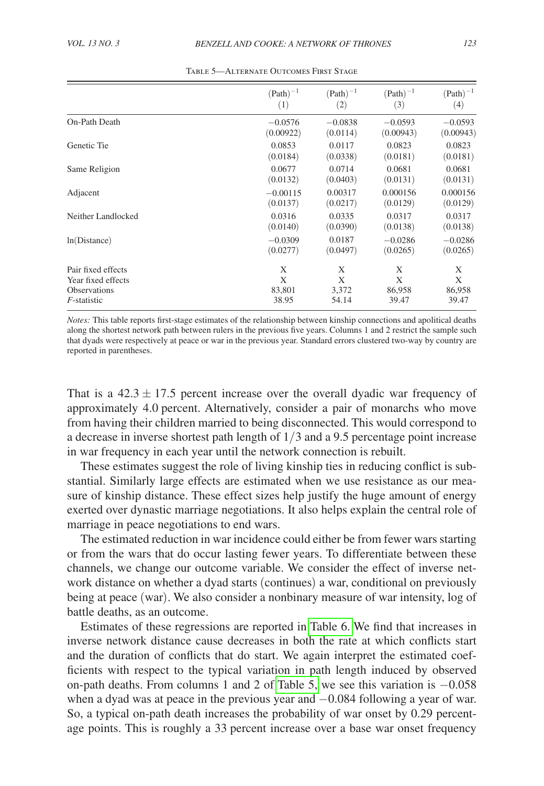|                     | $(Path)^{-1}$ | $(Path)^{-1}$     | $(Path)^{-1}$ | $(Path)^{-1}$     |
|---------------------|---------------|-------------------|---------------|-------------------|
|                     | (1)           | $\left( 2\right)$ | (3)           | $\left( 4\right)$ |
| On-Path Death       | $-0.0576$     | $-0.0838$         | $-0.0593$     | $-0.0593$         |
|                     | (0.00922)     | (0.0114)          | (0.00943)     | (0.00943)         |
| Genetic Tie         | 0.0853        | 0.0117            | 0.0823        | 0.0823            |
|                     | (0.0184)      | (0.0338)          | (0.0181)      | (0.0181)          |
| Same Religion       | 0.0677        | 0.0714            | 0.0681        | 0.0681            |
|                     | (0.0132)      | (0.0403)          | (0.0131)      | (0.0131)          |
| Adjacent            | $-0.00115$    | 0.00317           | 0.000156      | 0.000156          |
|                     | (0.0137)      | (0.0217)          | (0.0129)      | (0.0129)          |
| Neither Landlocked  | 0.0316        | 0.0335            | 0.0317        | 0.0317            |
|                     | (0.0140)      | (0.0390)          | (0.0138)      | (0.0138)          |
| ln(Distance)        | $-0.0309$     | 0.0187            | $-0.0286$     | $-0.0286$         |
|                     | (0.0277)      | (0.0497)          | (0.0265)      | (0.0265)          |
| Pair fixed effects  | X             | X                 | X             | X                 |
| Year fixed effects  | X             | X                 | X             | X                 |
| <b>Observations</b> | 83,801        | 3,372             | 86,958        | 86,958            |
| <i>F</i> -statistic | 38.95         | 54.14             | 39.47         | 39.47             |

Table 5—Alternate Outcomes First Stage

*Notes:* This table reports first-stage estimates of the relationship between kinship connections and apolitical deaths along the shortest network path between rulers in the previous five years. Columns 1 and 2 restrict the sample such that dyads were respectively at peace or war in the previous year. Standard errors clustered two-way by country are reported in parentheses.

That is a  $42.3 \pm 17.5$  percent increase over the overall dyadic war frequency of approximately 4.0 percent. Alternatively, consider a pair of monarchs who move from having their children married to being disconnected. This would correspond to a decrease in inverse shortest path length of 1/3 and a 9.5 percentage point increase in war frequency in each year until the network connection is rebuilt.

These estimates suggest the role of living kinship ties in reducing conflict is substantial. Similarly large effects are estimated when we use resistance as our measure of kinship distance. These effect sizes help justify the huge amount of energy exerted over dynastic marriage negotiations. It also helps explain the central role of marriage in peace negotiations to end wars.

The estimated reduction in war incidence could either be from fewer wars starting or from the wars that do occur lasting fewer years. To differentiate between these channels, we change our outcome variable. We consider the effect of inverse network distance on whether a dyad starts (continues) a war, conditional on previously being at peace (war). We also consider a nonbinary measure of war intensity, log of battle deaths, as an outcome.

Estimates of these regressions are reported in [Table 6.](#page-22-0) We find that increases in inverse network distance cause decreases in both the rate at which conflicts start and the duration of conflicts that do start. We again interpret the estimated coefficients with respect to the typical variation in path length induced by observed on-path deaths. From columns 1 and 2 of Table 5, we see this variation is −0.058 when a dyad was at peace in the previous year and −0.084 following a year of war. So, a typical on-path death increases the probability of war onset by 0.29 percentage points. This is roughly a 33 percent increase over a base war onset frequency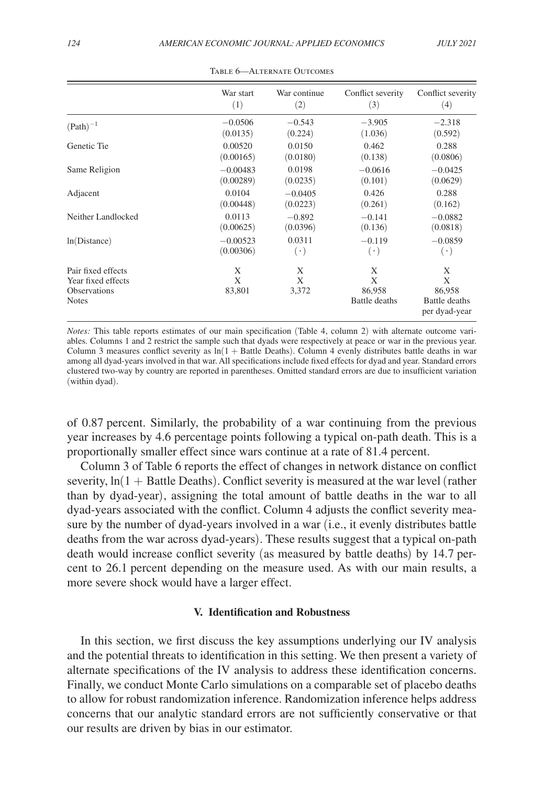<span id="page-22-0"></span>

|                                                                                 | War start        | War continue    | Conflict severity                 | Conflict severity                                  |
|---------------------------------------------------------------------------------|------------------|-----------------|-----------------------------------|----------------------------------------------------|
|                                                                                 | (1)              | (2)             | (3)                               | (4)                                                |
| $(Path)^{-1}$                                                                   | $-0.0506$        | $-0.543$        | $-3.905$                          | $-2.318$                                           |
|                                                                                 | (0.0135)         | (0.224)         | (1.036)                           | (0.592)                                            |
| Genetic Tie                                                                     | 0.00520          | 0.0150          | 0.462                             | 0.288                                              |
|                                                                                 | (0.00165)        | (0.0180)        | (0.138)                           | (0.0806)                                           |
| Same Religion                                                                   | $-0.00483$       | 0.0198          | $-0.0616$                         | $-0.0425$                                          |
|                                                                                 | (0.00289)        | (0.0235)        | (0.101)                           | (0.0629)                                           |
| Adjacent                                                                        | 0.0104           | $-0.0405$       | 0.426                             | 0.288                                              |
|                                                                                 | (0.00448)        | (0.0223)        | (0.261)                           | (0.162)                                            |
| Neither Landlocked                                                              | 0.0113           | $-0.892$        | $-0.141$                          | $-0.0882$                                          |
|                                                                                 | (0.00625)        | (0.0396)        | (0.136)                           | (0.0818)                                           |
| ln(Distance)                                                                    | $-0.00523$       | 0.0311          | $-0.119$                          | $-0.0859$                                          |
|                                                                                 | (0.00306)        | $(\cdot)$       | $(\cdot)$                         | $(\cdot)$                                          |
| Pair fixed effects<br>Year fixed effects<br><b>Observations</b><br><b>Notes</b> | X<br>X<br>83,801 | X<br>X<br>3,372 | X<br>X<br>86,958<br>Battle deaths | X<br>X<br>86,958<br>Battle deaths<br>per dyad-year |

Table 6—Alternate Outcomes

*Notes:* This table reports estimates of our main specification (Table 4, column 2) with alternate outcome variables. Columns 1 and 2 restrict the sample such that dyads were respectively at peace or war in the previous year. Column 3 measures conflict severity as  $ln(1 + B$ attle Deaths). Column 4 evenly distributes battle deaths in war among all dyad-years involved in that war. All specifications include fixed effects for dyad and year. Standard errors clustered two-way by country are reported in parentheses. Omitted standard errors are due to insufficient variation (within dyad).

of 0.87 percent. Similarly, the probability of a war continuing from the previous year increases by 4.6 percentage points following a typical on-path death. This is a proportionally smaller effect since wars continue at a rate of 81.4 percent.

Column 3 of Table 6 reports the effect of changes in network distance on conflict severity,  $ln(1 + Battle \cdot Deaths)$ . Conflict severity is measured at the war level (rather than by dyad-year), assigning the total amount of battle deaths in the war to all dyad-years associated with the conflict. Column 4 adjusts the conflict severity measure by the number of dyad-years involved in a war (i.e., it evenly distributes battle deaths from the war across dyad-years). These results suggest that a typical on-path death would increase conflict severity (as measured by battle deaths) by 14.7 percent to 26.1 percent depending on the measure used. As with our main results, a more severe shock would have a larger effect.

# **V. Identification and Robustness**

In this section, we first discuss the key assumptions underlying our IV analysis and the potential threats to identification in this setting. We then present a variety of alternate specifications of the IV analysis to address these identification concerns. Finally, we conduct Monte Carlo simulations on a comparable set of placebo deaths to allow for robust randomization inference. Randomization inference helps address concerns that our analytic standard errors are not sufficiently conservative or that our results are driven by bias in our estimator.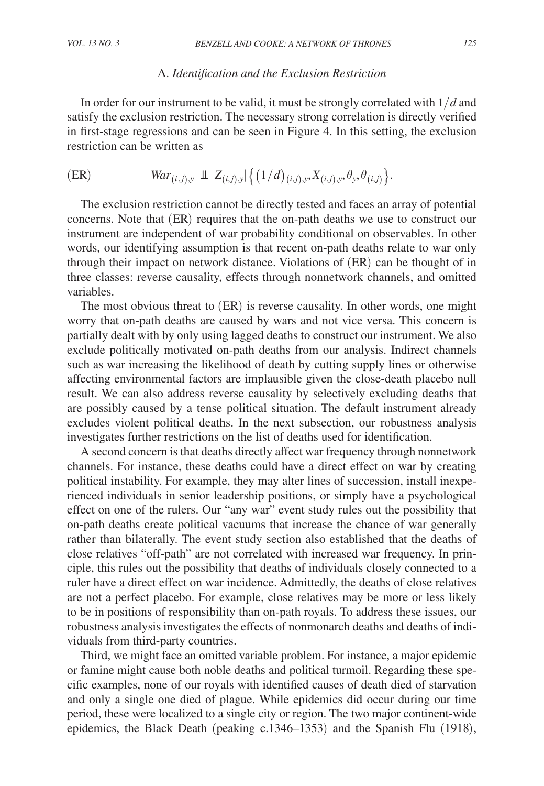# A. *Identification and the Exclusion Restriction*

In order for our instrument to be valid, it must be strongly correlated with 1/*d* and satisfy the exclusion restriction. The necessary strong correlation is directly verified in first-stage regressions and can be seen in Figure 4. In this setting, the exclusion restriction can be written as

$$
\text{(ER)} \quad War_{(i,j),y} \perp Z_{(i,j),y} \{ (1/d)_{(i,j),y}, X_{(i,j),y}, \theta_y, \theta_{(i,j)} \}.
$$

The exclusion restriction cannot be directly tested and faces an array of potential concerns. Note that (ER) requires that the on-path deaths we use to construct our instrument are independent of war probability conditional on observables. In other words, our identifying assumption is that recent on-path deaths relate to war only through their impact on network distance. Violations of (ER) can be thought of in three classes: reverse causality, effects through nonnetwork channels, and omitted variables.

The most obvious threat to (ER) is reverse causality. In other words, one might worry that on-path deaths are caused by wars and not vice versa. This concern is partially dealt with by only using lagged deaths to construct our instrument. We also exclude politically motivated on-path deaths from our analysis. Indirect channels such as war increasing the likelihood of death by cutting supply lines or otherwise affecting environmental factors are implausible given the close-death placebo null result. We can also address reverse causality by selectively excluding deaths that are possibly caused by a tense political situation. The default instrument already excludes violent political deaths. In the next subsection, our robustness analysis investigates further restrictions on the list of deaths used for identification.

A second concern is that deaths directly affect war frequency through nonnetwork channels. For instance, these deaths could have a direct effect on war by creating political instability. For example, they may alter lines of succession, install inexperienced individuals in senior leadership positions, or simply have a psychological effect on one of the rulers. Our "any war" event study rules out the possibility that on-path deaths create political vacuums that increase the chance of war generally rather than bilaterally. The event study section also established that the deaths of close relatives "off-path" are not correlated with increased war frequency. In principle, this rules out the possibility that deaths of individuals closely connected to a ruler have a direct effect on war incidence. Admittedly, the deaths of close relatives are not a perfect placebo. For example, close relatives may be more or less likely to be in positions of responsibility than on-path royals. To address these issues, our robustness analysis investigates the effects of nonmonarch deaths and deaths of individuals from third-party countries.

Third, we might face an omitted variable problem. For instance, a major epidemic or famine might cause both noble deaths and political turmoil. Regarding these specific examples, none of our royals with identified causes of death died of starvation and only a single one died of plague. While epidemics did occur during our time period, these were localized to a single city or region. The two major continent-wide epidemics, the Black Death (peaking c.1346–1353) and the Spanish Flu (1918),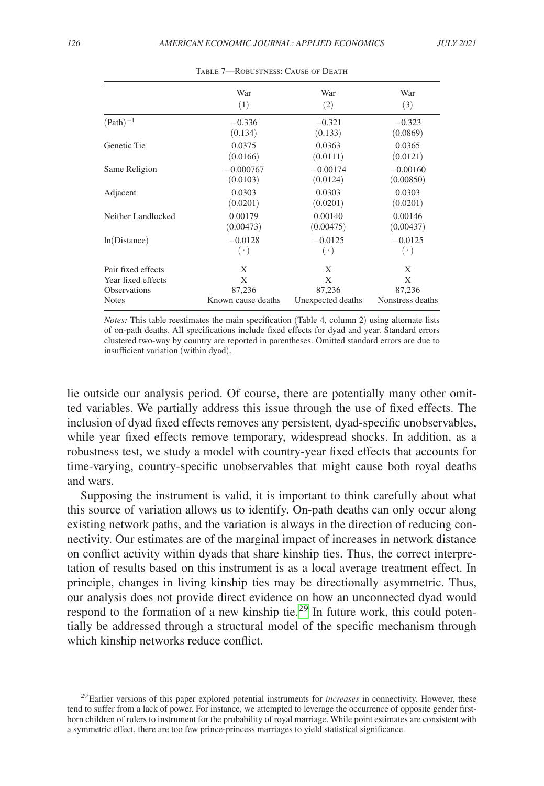<span id="page-24-1"></span>

|                     | War                | War               | War              |
|---------------------|--------------------|-------------------|------------------|
|                     | (1)                | (2)               | (3)              |
| $(Path)^{-1}$       | $-0.336$           | $-0.321$          | $-0.323$         |
|                     | (0.134)            | (0.133)           | (0.0869)         |
| Genetic Tie         | 0.0375             | 0.0363            | 0.0365           |
|                     | (0.0166)           | (0.0111)          | (0.0121)         |
| Same Religion       | $-0.000767$        | $-0.00174$        | $-0.00160$       |
|                     | (0.0103)           | (0.0124)          | (0.00850)        |
| Adjacent            | 0.0303             | 0.0303            | 0.0303           |
|                     | (0.0201)           | (0.0201)          | (0.0201)         |
| Neither Landlocked  | 0.00179            | 0.00140           | 0.00146          |
|                     | (0.00473)          | (0.00475)         | (0.00437)        |
| ln(Distance)        | $-0.0128$          | $-0.0125$         | $-0.0125$        |
|                     | $(\cdot)$          | $(\cdot)$         | $(\cdot)$        |
| Pair fixed effects  | X                  | X                 | X                |
| Year fixed effects  | X                  | X                 | X                |
| <b>Observations</b> | 87,236             | 87,236            | 87,236           |
| <b>Notes</b>        | Known cause deaths | Unexpected deaths | Nonstress deaths |

TABLE 7-ROBUSTNESS: CAUSE OF DEATH

*Notes:* This table reestimates the main specification (Table 4, column 2) using alternate lists of on-path deaths. All specifications include fixed effects for dyad and year. Standard errors clustered two-way by country are reported in parentheses. Omitted standard errors are due to insufficient variation (within dyad).

lie outside our analysis period. Of course, there are potentially many other omitted variables. We partially address this issue through the use of fixed effects. The inclusion of dyad fixed effects removes any persistent, dyad-specific unobservables, while year fixed effects remove temporary, widespread shocks. In addition, as a robustness test, we study a model with country-year fixed effects that accounts for time-varying, country-specific unobservables that might cause both royal deaths and wars.

Supposing the instrument is valid, it is important to think carefully about what this source of variation allows us to identify. On-path deaths can only occur along existing network paths, and the variation is always in the direction of reducing connectivity. Our estimates are of the marginal impact of increases in network distance on conflict activity within dyads that share kinship ties. Thus, the correct interpretation of results based on this instrument is as a local average treatment effect. In principle, changes in living kinship ties may be directionally asymmetric. Thus, our analysis does not provide direct evidence on how an unconnected dyad would respond to the formation of a new kinship tie.<sup>29</sup> In future work, this could potentially be addressed through a structural model of the specific mechanism through which kinship networks reduce conflict.

<span id="page-24-0"></span><sup>29</sup>Earlier versions of this paper explored potential instruments for *increases* in connectivity. However, these tend to suffer from a lack of power. For instance, we attempted to leverage the occurrence of opposite gender firstborn children of rulers to instrument for the probability of royal marriage. While point estimates are consistent with a symmetric effect, there are too few prince-princess marriages to yield statistical significance.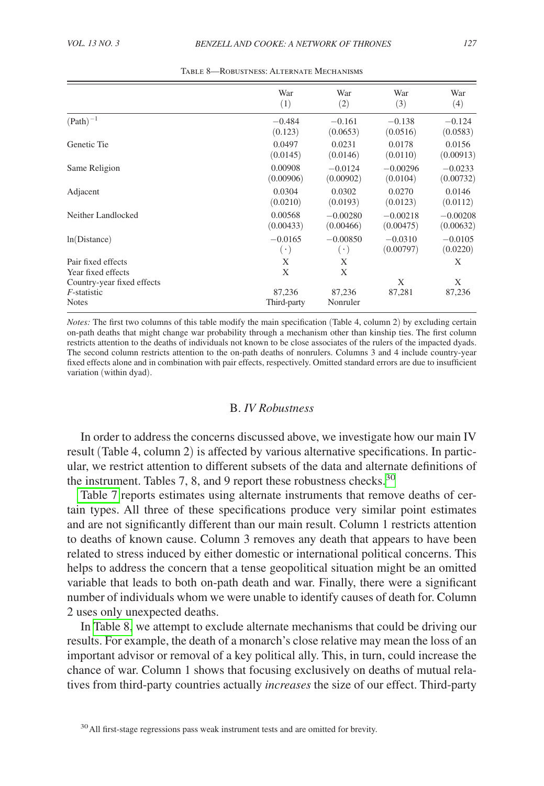|                                                              | War                   | War                | War         | War         |
|--------------------------------------------------------------|-----------------------|--------------------|-------------|-------------|
|                                                              | (1)                   | (2)                | (3)         | (4)         |
| $(Path)^{-1}$                                                | $-0.484$              | $-0.161$           | $-0.138$    | $-0.124$    |
|                                                              | (0.123)               | (0.0653)           | (0.0516)    | (0.0583)    |
| Genetic Tie                                                  | 0.0497                | 0.0231             | 0.0178      | 0.0156      |
|                                                              | (0.0145)              | (0.0146)           | (0.0110)    | (0.00913)   |
| Same Religion                                                | 0.00908               | $-0.0124$          | $-0.00296$  | $-0.0233$   |
|                                                              | (0.00906)             | (0.00902)          | (0.0104)    | (0.00732)   |
| Adjacent                                                     | 0.0304                | 0.0302             | 0.0270      | 0.0146      |
|                                                              | (0.0210)              | (0.0193)           | (0.0123)    | (0.0112)    |
| Neither Landlocked                                           | 0.00568               | $-0.00280$         | $-0.00218$  | $-0.00208$  |
|                                                              | (0.00433)             | (0.00466)          | (0.00475)   | (0.00632)   |
| ln(Distance)                                                 | $-0.0165$             | $-0.00850$         | $-0.0310$   | $-0.0105$   |
|                                                              | $(\cdot)$             | $(\cdot)$          | (0.00797)   | (0.0220)    |
| Pair fixed effects<br>Year fixed effects                     | X<br>X                | X<br>X             |             | X           |
| Country-year fixed effects<br>$F$ -statistic<br><b>Notes</b> | 87.236<br>Third-party | 87.236<br>Nonruler | X<br>87,281 | X<br>87,236 |

Table 8—Robustness: Alternate Mechanisms

*Notes:* The first two columns of this table modify the main specification (Table 4, column 2) by excluding certain on-path deaths that might change war probability through a mechanism other than kinship ties. The first column restricts attention to the deaths of individuals not known to be close associates of the rulers of the impacted dyads. The second column restricts attention to the on-path deaths of nonrulers. Columns 3 and 4 include country-year fixed effects alone and in combination with pair effects, respectively. Omitted standard errors are due to insufficient variation (within dyad).

# B. *IV Robustness*

In order to address the concerns discussed above, we investigate how our main IV result (Table 4, column 2) is affected by various alternative specifications. In particular, we restrict attention to different subsets of the data and alternate definitions of the instrument. Tables 7, 8, and 9 report these robustness checks.<sup>[30](#page-25-0)</sup>

[Table 7](#page-24-1) reports estimates using alternate instruments that remove deaths of certain types. All three of these specifications produce very similar point estimates and are not significantly different than our main result. Column 1 restricts attention to deaths of known cause. Column 3 removes any death that appears to have been related to stress induced by either domestic or international political concerns. This helps to address the concern that a tense geopolitical situation might be an omitted variable that leads to both on-path death and war. Finally, there were a significant number of individuals whom we were unable to identify causes of death for. Column 2 uses only unexpected deaths.

In Table 8, we attempt to exclude alternate mechanisms that could be driving our results. For example, the death of a monarch's close relative may mean the loss of an important advisor or removal of a key political ally. This, in turn, could increase the chance of war. Column 1 shows that focusing exclusively on deaths of mutual relatives from third-party countries actually *increases* the size of our effect. Third-party

<span id="page-25-0"></span><sup>&</sup>lt;sup>30</sup> All first-stage regressions pass weak instrument tests and are omitted for brevity.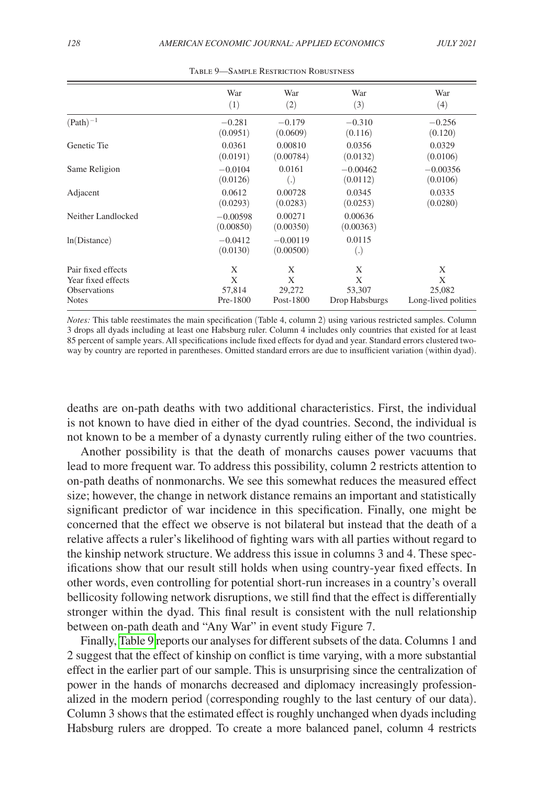|                     | War                     | War                     | War                  | War                 |
|---------------------|-------------------------|-------------------------|----------------------|---------------------|
|                     | (1)                     | (2)                     | (3)                  | (4)                 |
| $(Path)^{-1}$       | $-0.281$                | $-0.179$                | $-0.310$             | $-0.256$            |
|                     | (0.0951)                | (0.0609)                | (0.116)              | (0.120)             |
| Genetic Tie         | 0.0361                  | 0.00810                 | 0.0356               | 0.0329              |
|                     | (0.0191)                | (0.00784)               | (0.0132)             | (0.0106)            |
| Same Religion       | $-0.0104$               | 0.0161                  | $-0.00462$           | $-0.00356$          |
|                     | (0.0126)                | $\left( .\right)$       | (0.0112)             | (0.0106)            |
| Adjacent            | 0.0612                  | 0.00728                 | 0.0345               | 0.0335              |
|                     | (0.0293)                | (0.0283)                | (0.0253)             | (0.0280)            |
| Neither Landlocked  | $-0.00598$<br>(0.00850) | 0.00271<br>(0.00350)    | 0.00636<br>(0.00363) |                     |
| ln(Distance)        | $-0.0412$<br>(0.0130)   | $-0.00119$<br>(0.00500) | 0.0115<br>(.)        |                     |
| Pair fixed effects  | X                       | X                       | X                    | X                   |
| Year fixed effects  | X                       | X                       | X                    | X                   |
| <b>Observations</b> | 57,814                  | 29,272                  | 53,307               | 25,082              |
| <b>Notes</b>        | Pre-1800                | Post-1800               | Drop Habsburgs       | Long-lived polities |

Table 9—Sample Restriction Robustness

*Notes:* This table reestimates the main specification (Table 4, column 2) using various restricted samples. Column 3 drops all dyads including at least one Habsburg ruler. Column 4 includes only countries that existed for at least 85 percent of sample years. All specifications include fixed effects for dyad and year. Standard errors clustered twoway by country are reported in parentheses. Omitted standard errors are due to insufficient variation (within dyad).

deaths are on-path deaths with two additional characteristics. First, the individual is not known to have died in either of the dyad countries. Second, the individual is not known to be a member of a dynasty currently ruling either of the two countries.

Another possibility is that the death of monarchs causes power vacuums that lead to more frequent war. To address this possibility, column 2 restricts attention to on-path deaths of nonmonarchs. We see this somewhat reduces the measured effect size; however, the change in network distance remains an important and statistically significant predictor of war incidence in this specification. Finally, one might be concerned that the effect we observe is not bilateral but instead that the death of a relative affects a ruler's likelihood of fighting wars with all parties without regard to the kinship network structure. We address this issue in columns 3 and 4. These specifications show that our result still holds when using country-year fixed effects. In other words, even controlling for potential short-run increases in a country's overall bellicosity following network disruptions, we still find that the effect is differentially stronger within the dyad. This final result is consistent with the null relationship between on-path death and "Any War" in event study Figure 7.

Finally, Table 9 reports our analyses for different subsets of the data. Columns 1 and 2 suggest that the effect of kinship on conflict is time varying, with a more substantial effect in the earlier part of our sample. This is unsurprising since the centralization of power in the hands of monarchs decreased and diplomacy increasingly professionalized in the modern period (corresponding roughly to the last century of our data). Column 3 shows that the estimated effect is roughly unchanged when dyads including Habsburg rulers are dropped. To create a more balanced panel, column 4 restricts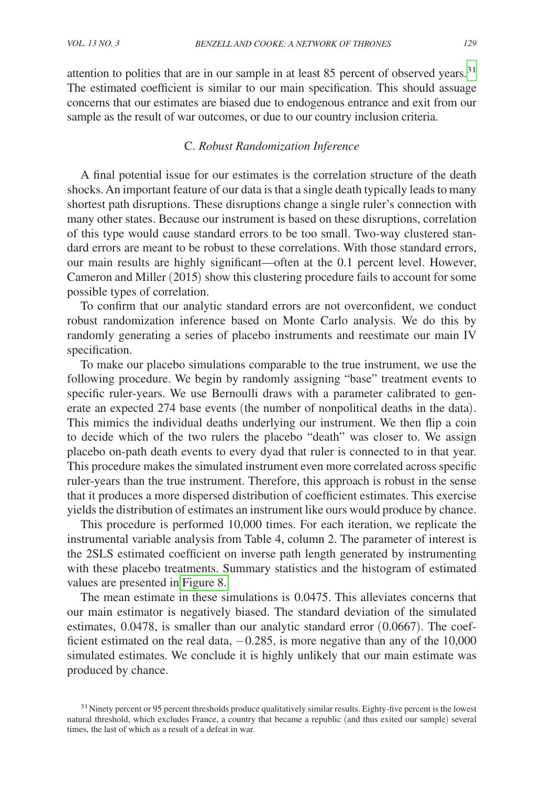attention to polities that are in our sample in at least 85 percent of observed years.<sup>31</sup> The estimated coefficient is similar to our main specification. This should assuage concerns that our estimates are biased due to endogenous entrance and exit from our sample as the result of war outcomes, or due to our country inclusion criteria.

# C. *Robust Randomization Inference*

A final potential issue for our estimates is the correlation structure of the death shocks. An important feature of our data is that a single death typically leads to many shortest path disruptions. These disruptions change a single ruler's connection with many other states. Because our instrument is based on these disruptions, correlation of this type would cause standard errors to be too small. Two-way clustered standard errors are meant to be robust to these correlations. With those standard errors, our main results are highly significant—often at the 0.1 percent level. However, Cameron and Miller (2015) show this clustering procedure fails to account for some possible types of correlation.

To confirm that our analytic standard errors are not overconfident, we conduct robust randomization inference based on Monte Carlo analysis. We do this by randomly generating a series of placebo instruments and reestimate our main IV specification.

To make our placebo simulations comparable to the true instrument, we use the following procedure. We begin by randomly assigning "base" treatment events to specific ruler-years. We use Bernoulli draws with a parameter calibrated to generate an expected 274 base events (the number of nonpolitical deaths in the data). This mimics the individual deaths underlying our instrument. We then flip a coin to decide which of the two rulers the placebo "death" was closer to. We assign placebo on-path death events to every dyad that ruler is connected to in that year. This procedure makes the simulated instrument even more correlated across specific ruler-years than the true instrument. Therefore, this approach is robust in the sense that it produces a more dispersed distribution of coefficient estimates. This exercise yields the distribution of estimates an instrument like ours would produce by chance.

This procedure is performed 10,000 times. For each iteration, we replicate the instrumental variable analysis from Table 4, column 2. The parameter of interest is the 2SLS estimated coefficient on inverse path length generated by instrumenting with these placebo treatments. Summary statistics and the histogram of estimated values are presented in [Figure 8.](#page-28-0)

The mean estimate in these simulations is 0.0475. This alleviates concerns that our main estimator is negatively biased. The standard deviation of the simulated estimates, 0.0478, is smaller than our analytic standard error (0.0667). The coefficient estimated on the real data,  $-0.285$ , is more negative than any of the 10,000 simulated estimates. We conclude it is highly unlikely that our main estimate was produced by chance.

<span id="page-27-0"></span><sup>&</sup>lt;sup>31</sup>Ninety percent or 95 percent thresholds produce qualitatively similar results. Eighty-five percent is the lowest natural threshold, which excludes France, a country that became a republic (and thus exited our sample) several times, the last of which as a result of a defeat in war.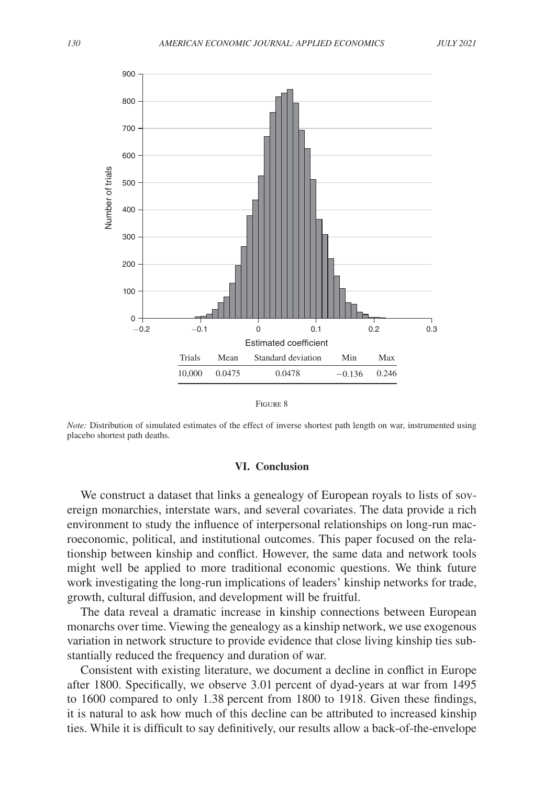<span id="page-28-0"></span>

| F<br>IGURE - | ົ |
|--------------|---|
|--------------|---|

*Note:* Distribution of simulated estimates of the effect of inverse shortest path length on war, instrumented using placebo shortest path deaths.

# **VI. Conclusion**

We construct a dataset that links a genealogy of European royals to lists of sovereign monarchies, interstate wars, and several covariates. The data provide a rich environment to study the influence of interpersonal relationships on long-run macroeconomic, political, and institutional outcomes. This paper focused on the relationship between kinship and conflict. However, the same data and network tools might well be applied to more traditional economic questions. We think future work investigating the long-run implications of leaders' kinship networks for trade, growth, cultural diffusion, and development will be fruitful.

The data reveal a dramatic increase in kinship connections between European monarchs over time. Viewing the genealogy as a kinship network, we use exogenous variation in network structure to provide evidence that close living kinship ties substantially reduced the frequency and duration of war.

Consistent with existing literature, we document a decline in conflict in Europe after 1800. Specifically, we observe 3.01 percent of dyad-years at war from 1495 to 1600 compared to only 1.38 percent from 1800 to 1918. Given these findings, it is natural to ask how much of this decline can be attributed to increased kinship ties. While it is difficult to say definitively, our results allow a back-of-the-envelope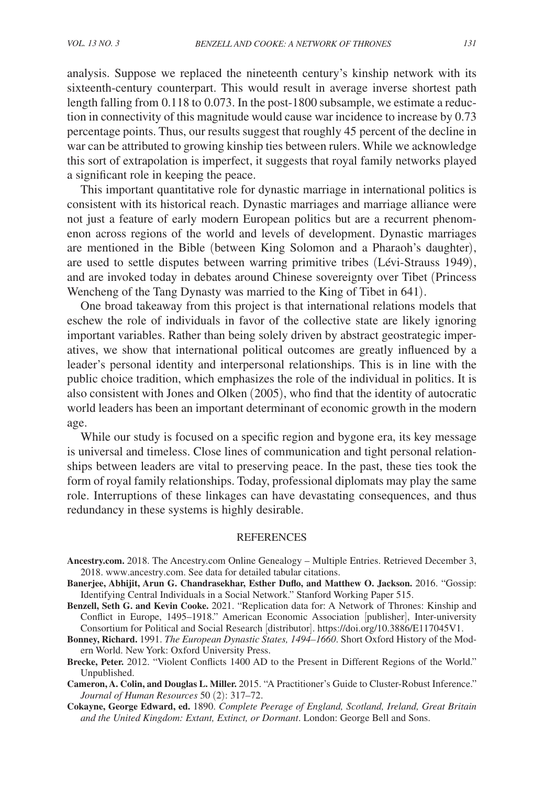analysis. Suppose we replaced the nineteenth century's kinship network with its sixteenth-century counterpart. This would result in average inverse shortest path length falling from 0.118 to 0.073. In the post-1800 subsample, we estimate a reduction in connectivity of this magnitude would cause war incidence to increase by 0.73 percentage points. Thus, our results suggest that roughly 45 percent of the decline in war can be attributed to growing kinship ties between rulers. While we acknowledge this sort of extrapolation is imperfect, it suggests that royal family networks played a significant role in keeping the peace.

This important quantitative role for dynastic marriage in international politics is consistent with its historical reach. Dynastic marriages and marriage alliance were not just a feature of early modern European politics but are a recurrent phenomenon across regions of the world and levels of development. Dynastic marriages are mentioned in the Bible (between King Solomon and a Pharaoh's daughter), are used to settle disputes between warring primitive tribes (Lévi-Strauss 1949), and are invoked today in debates around Chinese sovereignty over Tibet (Princess Wencheng of the Tang Dynasty was married to the King of Tibet in 641).

One broad takeaway from this project is that international relations models that eschew the role of individuals in favor of the collective state are likely ignoring important variables. Rather than being solely driven by abstract geostrategic imperatives, we show that international political outcomes are greatly influenced by a leader's personal identity and interpersonal relationships. This is in line with the public choice tradition, which emphasizes the role of the individual in politics. It is also consistent with Jones and Olken (2005), who find that the identity of autocratic world leaders has been an important determinant of economic growth in the modern age.

While our study is focused on a specific region and bygone era, its key message is universal and timeless. Close lines of communication and tight personal relationships between leaders are vital to preserving peace. In the past, these ties took the form of royal family relationships. Today, professional diplomats may play the same role. Interruptions of these linkages can have devastating consequences, and thus redundancy in these systems is highly desirable.

#### REFERENCES

- **[Ancestry.com](http://Ancestry.com).** 2018. The [Ancestry.com](http://Ancestry.com) Online Genealogy Multiple Entries. Retrieved December 3, 2018. [www.ancestry.com.](http://www.ancestry.com) See data for detailed tabular citations.
- **Banerjee, Abhijit, Arun G. Chandrasekhar, Esther Duflo, and Matthew O. Jackson.** 2016. "Gossip: Identifying Central Individuals in a Social Network." Stanford Working Paper 515.
- **Benzell, Seth G. and Kevin Cooke.** 2021. "Replication data for: A Network of Thrones: Kinship and Conflict in Europe, 1495–1918." American Economic Association [publisher], Inter-university Consortium for Political and Social Research [distributor]. <https://doi.org/10.3886/E117045V1>.
- **Bonney, Richard.** 1991. *The European Dynastic States, 1494–1660*. Short Oxford History of the Modern World. New York: Oxford University Press.
- **Brecke, Peter.** 2012. "Violent Conflicts 1400 AD to the Present in Different Regions of the World." Unpublished.
- **Cameron, A. Colin, and Douglas L. Miller.** 2015. "A Practitioner's Guide to Cluster-Robust Inference." *Journal of Human Resources* 50 (2): 317–72.
	- **Cokayne, George Edward, ed.** 1890. *Complete Peerage of England, Scotland, Ireland, Great Britain and the United Kingdom: Extant, Extinct, or Dormant*. London: George Bell and Sons.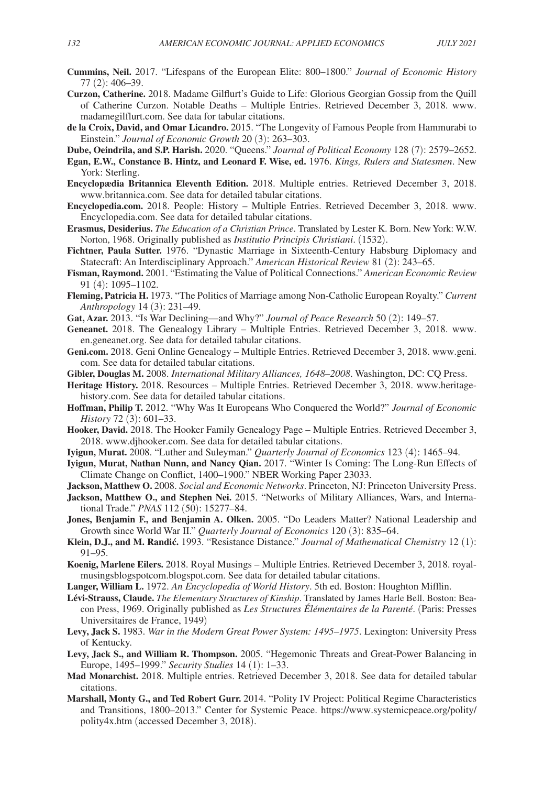- **Cummins, Neil.** 2017. "Lifespans of the European Elite: 800–1800." *Journal of Economic History* 77 (2): 406–39.
- **Curzon, Catherine.** 2018. Madame Gilflurt's Guide to Life: Glorious Georgian Gossip from the Quill of Catherine Curzon. Notable Deaths – Multiple Entries. Retrieved December 3, 2018. [www.](http://www.madamegilflurt.com) [madamegilflurt.com](http://www.madamegilflurt.com). See data for tabular citations.
- **de la Croix, David, and Omar Licandro.** 2015. "The Longevity of Famous People from Hammurabi to Einstein." *Journal of Economic Growth* 20 (3): 263–303.
- **Dube, Oeindrila, and S.P. Harish.** 2020. "Queens." *Journal of Political Economy* 128 (7): 2579–2652. **Egan, E.W., Constance B. Hintz, and Leonard F. Wise, ed.** 1976. *Kings, Rulers and Statesmen*. New York: Sterling.
	- **Encyclopædia Britannica Eleventh Edition.** 2018. Multiple entries. Retrieved December 3, 2018. [www.britannica.com](http://www.britannica.com). See data for detailed tabular citations.
	- **[Encyclopedia.com.](http://Encyclopedia.com)** 2018. People: History Multiple Entries. Retrieved December 3, 2018. [www.](http://www.Encyclopedia.com) [Encyclopedia.com.](http://www.Encyclopedia.com) See data for detailed tabular citations.
	- **Erasmus, Desiderius.** *The Education of a Christian Prince*. Translated by Lester K. Born. New York: W.W. Norton, 1968. Originally published as *Institutio Principis Christiani*. (1532).
- **Fichtner, Paula Sutter.** 1976. "Dynastic Marriage in Sixteenth-Century Habsburg Diplomacy and Statecraft: An Interdisciplinary Approach." *American Historical Review* 81 (2): 243–65.
- **Fisman, Raymond.** 2001. "Estimating the Value of Political Connections." *American Economic Review* 91 (4): 1095–1102.
- **Fleming, Patricia H.** 1973. "The Politics of Marriage among Non-Catholic European Royalty." *Current Anthropology* 14 (3): 231–49.
- **Gat, Azar.** 2013. "Is War Declining—and Why?" *Journal of Peace Research* 50 (2): 149–57.
- **Geneanet.** 2018. The Genealogy Library Multiple Entries. Retrieved December 3, 2018. [www.](http://www.en.geneanet.org) [en.geneanet.org.](http://www.en.geneanet.org) See data for detailed tabular citations.
- **[Geni.com.](http://Geni.com)** 2018. Geni Online Genealogy Multiple Entries. Retrieved December 3, 2018. [www.geni.](http://www.geni.com) [com](http://www.geni.com). See data for detailed tabular citations.
- **Gibler, Douglas M.** 2008. *International Military Alliances, 1648–2008*. Washington, DC: CQ Press.
- **Heritage History.** 2018. Resources Multiple Entries. Retrieved December 3, 2018. www.heritage[history.com.](http://heritage-history.com) See data for detailed tabular citations.
- **Hoffman, Philip T.** 2012. "Why Was It Europeans Who Conquered the World?" *Journal of Economic History* 72 (3): 601–33.
	- **Hooker, David.** 2018. The Hooker Family Genealogy Page Multiple Entries. Retrieved December 3, 2018. [www.djhooker.com.](http://www.djhooker.com) See data for detailed tabular citations.
	- **Iyigun, Murat.** 2008. "Luther and Suleyman." *Quarterly Journal of Economics* 123 (4): 1465–94.
- **Iyigun, Murat, Nathan Nunn, and Nancy Qian.** 2017. "Winter Is Coming: The Long-Run Effects of Climate Change on Conflict, 1400–1900." NBER Working Paper 23033.
- **Jackson, Matthew O.** 2008. *Social and Economic Networks*. Princeton, NJ: Princeton University Press.
- **Jackson, Matthew O., and Stephen Nei.** 2015. "Networks of Military Alliances, Wars, and International Trade." *PNAS* 112 (50): 15277–84.
- **Jones, Benjamin F., and Benjamin A. Olken.** 2005. "Do Leaders Matter? National Leadership and Growth since World War II." *Quarterly Journal of Economics* 120 (3): 835–64.
- Klein, D.J., and M. Randić. 1993. "Resistance Distance." *Journal of Mathematical Chemistry* 12 (1): 91–95.
	- **Koenig, Marlene Eilers.** 2018. Royal Musings Multiple Entries. Retrieved December 3, 2018. royal[musingsblogspotcom.blogspot.com.](http://musingsblogspotcom.blogspot.com) See data for detailed tabular citations.
	- **Langer, William L.** 1972. *An Encyclopedia of World History*. 5th ed. Boston: Houghton Mifflin.
	- **Lévi-Strauss, Claude.** *The Elementary Structures of Kinship*. Translated by James Harle Bell. Boston: Beacon Press, 1969. Originally published as *Les Structures Élémentaires de la Parenté*. (Paris: Presses Universitaires de France, 1949)
	- **Levy, Jack S.** 1983. *War in the Modern Great Power System: 1495–1975*. Lexington: University Press of Kentucky.
- **Levy, Jack S., and William R. Thompson.** 2005. "Hegemonic Threats and Great-Power Balancing in Europe, 1495–1999." *Security Studies* 14 (1): 1–33.
- **Mad Monarchist.** 2018. Multiple entries. Retrieved December 3, 2018. See data for detailed tabular citations.
- **Marshall, Monty G., and Ted Robert Gurr.** 2014. "Polity IV Project: Political Regime Characteristics and Transitions, 1800–2013." Center for Systemic Peace. [https://www.systemicpeace.org/polity/](https://www.systemicpeace.org/polity/polity4x.htm) [polity4x.htm](https://www.systemicpeace.org/polity/polity4x.htm) (accessed December 3, 2018).